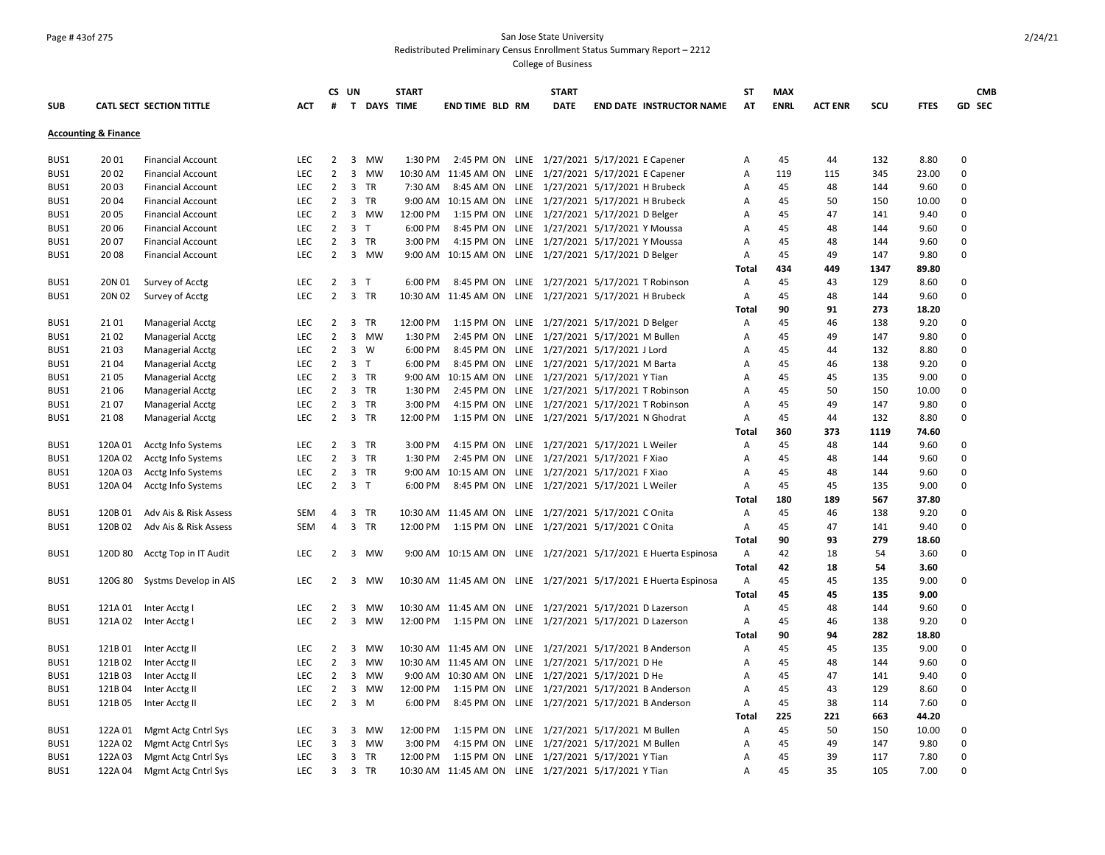### Page # 43of 275 San Jose State University Redistributed Preliminary Census Enrollment Status Summary Report – 2212

|            |                                 |                                  |                   |                | CS UN                   |                    | <b>START</b> |                                                          | <b>START</b>                      |                                                                 | <b>ST</b>      | <b>MAX</b>  |                |            |              | <b>CMB</b>  |
|------------|---------------------------------|----------------------------------|-------------------|----------------|-------------------------|--------------------|--------------|----------------------------------------------------------|-----------------------------------|-----------------------------------------------------------------|----------------|-------------|----------------|------------|--------------|-------------|
| <b>SUB</b> |                                 | CATL SECT SECTION TITTLE         | <b>ACT</b>        | #              |                         | <b>T DAYS TIME</b> |              | <b>END TIME BLD RM</b>                                   | <b>DATE</b>                       | <b>END DATE INSTRUCTOR NAME</b>                                 | AT             | <b>ENRL</b> | <b>ACT ENR</b> | scu        | <b>FTES</b>  | GD SEC      |
|            | <b>Accounting &amp; Finance</b> |                                  |                   |                |                         |                    |              |                                                          |                                   |                                                                 |                |             |                |            |              |             |
| BUS1       | 2001                            | <b>Financial Account</b>         | <b>LEC</b>        | 2              |                         | 3 MW               | 1:30 PM      | 2:45 PM ON LINE 1/27/2021 5/17/2021 E Capener            |                                   |                                                                 |                | 45          | 44             | 132        | 8.80         | $\mathbf 0$ |
| BUS1       | 20 02                           | <b>Financial Account</b>         | LEC               | $\overline{2}$ | $\overline{3}$          | <b>MW</b>          |              | 10:30 AM 11:45 AM ON LINE 1/27/2021 5/17/2021 E Capener  |                                   |                                                                 | Α<br>A         | 119         | 115            | 345        | 23.00        | $\mathbf 0$ |
| BUS1       | 2003                            | <b>Financial Account</b>         | <b>LEC</b>        | $\overline{2}$ |                         | 3 TR               | 7:30 AM      |                                                          |                                   |                                                                 |                | 45          | 48             | 144        | 9.60         | $\mathbf 0$ |
|            |                                 |                                  |                   | $\overline{2}$ | $\overline{3}$          |                    |              | 8:45 AM ON LINE 1/27/2021 5/17/2021 H Brubeck            |                                   |                                                                 | A              | 45          |                |            |              | $\mathbf 0$ |
| BUS1       | 2004                            | <b>Financial Account</b>         | <b>LEC</b>        |                | $\overline{3}$          | TR                 |              | 9:00 AM 10:15 AM ON LINE 1/27/2021 5/17/2021 H Brubeck   |                                   |                                                                 | A              |             | 50             | 150        | 10.00        | $\mathbf 0$ |
| BUS1       | 20 05                           | <b>Financial Account</b>         | <b>LEC</b>        | 2              |                         | <b>MW</b>          | 12:00 PM     | 1:15 PM ON LINE 1/27/2021 5/17/2021 D Belger             |                                   |                                                                 | A              | 45          | 47             | 141        | 9.40         |             |
| BUS1       | 20 06                           | <b>Financial Account</b>         | <b>LEC</b>        | 2              | $\overline{\mathbf{3}}$ | $\mathsf{T}$       | 6:00 PM      | 8:45 PM ON LINE 1/27/2021 5/17/2021 Y Moussa             |                                   |                                                                 | Α              | 45          | 48             | 144        | 9.60         | $\mathbf 0$ |
| BUS1       | 20 07                           | <b>Financial Account</b>         | LEC               | $\overline{2}$ | 3 TR                    |                    | 3:00 PM      | 4:15 PM ON LINE 1/27/2021 5/17/2021 Y Moussa             |                                   |                                                                 | Α              | 45          | 48             | 144        | 9.60         | $\mathbf 0$ |
| BUS1       | 2008                            | <b>Financial Account</b>         | LEC               | $\overline{2}$ |                         | 3 MW               |              | 9:00 AM 10:15 AM ON LINE 1/27/2021 5/17/2021 D Belger    |                                   |                                                                 | Α              | 45          | 49             | 147        | 9.80         | $\mathbf 0$ |
|            |                                 |                                  |                   |                |                         |                    |              |                                                          |                                   |                                                                 | Total          | 434         | 449            | 1347       | 89.80        |             |
| BUS1       | 20N 01                          | Survey of Acctg                  | <b>LEC</b>        | 2              | 3 <sub>T</sub>          |                    | 6:00 PM      | 8:45 PM ON LINE 1/27/2021 5/17/2021 T Robinson           |                                   |                                                                 | Α              | 45          | 43             | 129        | 8.60         | 0           |
| BUS1       | 20N 02                          | Survey of Acctg                  | <b>LEC</b>        | $\overline{2}$ | 3 TR                    |                    |              | 10:30 AM 11:45 AM ON LINE 1/27/2021 5/17/2021 H Brubeck  |                                   |                                                                 | Α              | 45          | 48             | 144        | 9.60         | $\mathbf 0$ |
|            |                                 |                                  |                   |                |                         |                    |              |                                                          |                                   |                                                                 | <b>Total</b>   | 90          | 91             | 273        | 18.20        |             |
| BUS1       | 2101                            | Managerial Acctg                 | <b>LEC</b>        | 2              | 3                       | <b>TR</b>          | 12:00 PM     | 1:15 PM ON LINE 1/27/2021 5/17/2021 D Belger             |                                   |                                                                 | A              | 45          | 46             | 138        | 9.20         | $\mathbf 0$ |
| BUS1       | 21 02                           | Managerial Acctg                 | LEC               | 2              |                         | 3 MW               | 1:30 PM      | 2:45 PM ON LINE 1/27/2021 5/17/2021 M Bullen             |                                   |                                                                 | Α              | 45          | 49             | 147        | 9.80         | $\mathbf 0$ |
| BUS1       | 21 03                           | Managerial Acctg                 | <b>LEC</b>        | 2              | $\overline{3}$          | W                  | 6:00 PM      | 8:45 PM ON LINE 1/27/2021 5/17/2021 J Lord               |                                   |                                                                 | A              | 45          | 44             | 132        | 8.80         | $\mathbf 0$ |
| BUS1       | 2104                            | <b>Managerial Acctg</b>          | <b>LEC</b>        | $\overline{2}$ | 3 <sub>T</sub>          |                    | 6:00 PM      | 8:45 PM ON LINE 1/27/2021 5/17/2021 M Barta              |                                   |                                                                 | Α              | 45          | 46             | 138        | 9.20         | 0           |
| BUS1       | 21 05                           | Managerial Acctg                 | <b>LEC</b>        | 2              | 3                       | TR                 | 9:00 AM      | 10:15 AM ON LINE 1/27/2021 5/17/2021 Y Tian              |                                   |                                                                 | A              | 45          | 45             | 135        | 9.00         | $\mathbf 0$ |
| BUS1       | 21 06                           | Managerial Acctg                 | LEC               | $\overline{2}$ | 3 TR                    |                    | 1:30 PM      | 2:45 PM ON LINE 1/27/2021 5/17/2021 T Robinson           |                                   |                                                                 | Α              | 45          | 50             | 150        | 10.00        | $\mathbf 0$ |
| BUS1       | 2107                            | Managerial Acctg                 | <b>LEC</b>        | 2              | 3 TR                    |                    | 3:00 PM      | 4:15 PM ON LINE 1/27/2021 5/17/2021 T Robinson           |                                   |                                                                 | A              | 45          | 49             | 147        | 9.80         | $\mathbf 0$ |
| BUS1       | 2108                            | Managerial Acctg                 | <b>LEC</b>        | $\overline{2}$ | 3 TR                    |                    | 12:00 PM     | 1:15 PM ON LINE 1/27/2021 5/17/2021 N Ghodrat            |                                   |                                                                 | Α              | 45          | 44             | 132        | 8.80         | $\mathbf 0$ |
|            |                                 |                                  |                   |                |                         |                    |              |                                                          |                                   |                                                                 | <b>Total</b>   | 360         | 373            | 1119       | 74.60        |             |
| BUS1       | 120A 01                         | Acctg Info Systems               | <b>LEC</b>        | $\overline{2}$ | 3 TR                    |                    | 3:00 PM      | 4:15 PM ON LINE 1/27/2021 5/17/2021 L Weiler             |                                   |                                                                 | $\overline{A}$ | 45          | 48             | 144        | 9.60         | 0           |
| BUS1       | 120A 02                         | Acctg Info Systems               | <b>LEC</b>        | $\overline{2}$ | 3 TR                    |                    | 1:30 PM      | 2:45 PM ON LINE 1/27/2021 5/17/2021 F Xiao               |                                   |                                                                 | $\overline{A}$ | 45          | 48             | 144        | 9.60         | $\pmb{0}$   |
| BUS1       | 120A 03                         | Acctg Info Systems               | <b>LEC</b>        | 2              | 3 TR                    |                    |              | 9:00 AM 10:15 AM ON LINE 1/27/2021 5/17/2021 F Xiao      |                                   |                                                                 | A              | 45          | 48             | 144        | 9.60         | 0           |
| BUS1       | 120A 04                         | Acctg Info Systems               | <b>LEC</b>        | $\overline{2}$ | 3 <sub>T</sub>          |                    | 6:00 PM      | 8:45 PM ON LINE 1/27/2021 5/17/2021 L Weiler             |                                   |                                                                 | Α              | 45          | 45             | 135        | 9.00         | $\mathbf 0$ |
|            |                                 |                                  |                   |                |                         |                    |              |                                                          |                                   |                                                                 | Total          | 180         | 189            | 567        | 37.80        |             |
| BUS1       | 120B 01                         | Adv Ais & Risk Assess            | <b>SEM</b>        | 4              | 3 TR                    |                    |              | 10:30 AM 11:45 AM ON LINE 1/27/2021 5/17/2021 C Onita    |                                   |                                                                 | Α              | 45          | 46             | 138        | 9.20         | 0           |
| BUS1       | 120B02                          | Adv Ais & Risk Assess            | <b>SEM</b>        | $\overline{4}$ | 3 TR                    |                    | 12:00 PM     | 1:15 PM ON LINE 1/27/2021 5/17/2021 C Onita              |                                   |                                                                 | $\mathsf{A}$   | 45          | 47             | 141        | 9.40         | $\mathbf 0$ |
|            |                                 |                                  |                   |                |                         |                    |              |                                                          |                                   |                                                                 | <b>Total</b>   | 90          | 93             | 279        | 18.60        |             |
| BUS1       | 120D 80                         | Acctg Top in IT Audit            | <b>LEC</b>        | 2              |                         | 3 MW               |              |                                                          |                                   | 9:00 AM 10:15 AM ON LINE 1/27/2021 5/17/2021 E Huerta Espinosa  | $\mathsf{A}$   | 42          | 18             | 54         | 3.60         | $\mathbf 0$ |
|            |                                 |                                  |                   |                |                         |                    |              |                                                          |                                   |                                                                 | <b>Total</b>   | 42          | 18             | 54         | 3.60         |             |
| BUS1       | 120G 80                         | Systms Develop in AIS            | <b>LEC</b>        | 2              | 3                       | MW                 |              |                                                          |                                   | 10:30 AM 11:45 AM ON LINE 1/27/2021 5/17/2021 E Huerta Espinosa | A              | 45          | 45             | 135        | 9.00         | $\mathbf 0$ |
|            |                                 |                                  |                   |                |                         |                    |              |                                                          |                                   |                                                                 | Total          | 45          | 45             | 135        | 9.00         |             |
| BUS1       | 121A 01                         | Inter Acctg I                    | <b>LEC</b>        | $\overline{2}$ | 3                       | <b>MW</b>          |              | 10:30 AM 11:45 AM ON LINE 1/27/2021 5/17/2021 D Lazerson |                                   |                                                                 | Α              | 45          | 48             | 144        | 9.60         | $\mathbf 0$ |
| BUS1       |                                 | 121A 02 Inter Acctg I            | <b>LEC</b>        | 2              | 3                       | MW                 |              | 12:00 PM 1:15 PM ON LINE 1/27/2021 5/17/2021 D Lazerson  |                                   |                                                                 | Α              | 45          | 46             | 138        | 9.20         | $\mathbf 0$ |
|            |                                 |                                  |                   |                |                         |                    |              |                                                          |                                   |                                                                 | <b>Total</b>   | 90          | 94             | 282        | 18.80        |             |
| BUS1       |                                 |                                  | <b>LEC</b>        | 2              | 3                       | MW                 |              | 10:30 AM 11:45 AM ON LINE 1/27/2021 5/17/2021 B Anderson |                                   |                                                                 | Α              | 45          | 45             | 135        | 9.00         | 0           |
|            |                                 | 121B 01 Inter Acctg II           |                   |                | $\overline{3}$          |                    |              |                                                          |                                   |                                                                 |                | 45          |                |            |              | $\mathbf 0$ |
| BUS1       | 121B02<br>121B03                | Inter Acctg II<br>Inter Acctg II | LEC<br><b>LEC</b> | 2<br>2         | 3                       | MW<br><b>MW</b>    |              | 10:30 AM 11:45 AM ON LINE 1/27/2021 5/17/2021 D He       |                                   |                                                                 | Α              | 45          | 48<br>47       | 144<br>141 | 9.60<br>9.40 | $\mathbf 0$ |
| BUS1       |                                 |                                  |                   |                | $\overline{3}$          |                    |              | 9:00 AM 10:30 AM ON LINE 1/27/2021 5/17/2021 D He        |                                   |                                                                 | Α              | 45          |                |            |              | $\mathbf 0$ |
| BUS1       | 121B04                          | Inter Acctg II                   | <b>LEC</b>        | 2              |                         | MW                 | 12:00 PM     | 1:15 PM ON LINE 1/27/2021 5/17/2021 B Anderson           |                                   |                                                                 | Α              |             | 43             | 129        | 8.60         |             |
| BUS1       | 121B05                          | Inter Acctg II                   | <b>LEC</b>        | $\overline{2}$ | $\overline{3}$          | M                  | 6:00 PM      | 8:45 PM ON LINE 1/27/2021 5/17/2021 B Anderson           |                                   |                                                                 | $\mathsf{A}$   | 45          | 38             | 114        | 7.60         | $\mathbf 0$ |
|            |                                 |                                  |                   |                |                         |                    |              |                                                          |                                   |                                                                 | <b>Total</b>   | 225         | 221            | 663        | 44.20        |             |
| BUS1       | 122A 01                         | Mgmt Actg Cntrl Sys              | <b>LEC</b>        | 3              | 3                       | MW                 | 12:00 PM     | 1:15 PM ON                                               | LINE 1/27/2021 5/17/2021 M Bullen |                                                                 | $\overline{A}$ | 45          | 50             | 150        | 10.00        | $\mathbf 0$ |
| BUS1       | 122A 02                         | Mgmt Actg Cntrl Sys              | <b>LEC</b>        | 3              | 3                       | MW                 | 3:00 PM      | 4:15 PM ON LINE 1/27/2021 5/17/2021 M Bullen             |                                   |                                                                 | A              | 45          | 49             | 147        | 9.80         | 0           |
| BUS1       | 122A 03                         | Mgmt Actg Cntrl Sys              | LEC               | 3              | 3 TR                    |                    | 12:00 PM     | 1:15 PM ON LINE 1/27/2021 5/17/2021 Y Tian               |                                   |                                                                 | Α              | 45          | 39             | 117        | 7.80         | $\mathbf 0$ |
| BUS1       | 122A 04                         | Mgmt Actg Cntrl Sys              | <b>LEC</b>        | 3              | 3 TR                    |                    |              | 10:30 AM 11:45 AM ON LINE 1/27/2021 5/17/2021 Y Tian     |                                   |                                                                 | A              | 45          | 35             | 105        | 7.00         | $\Omega$    |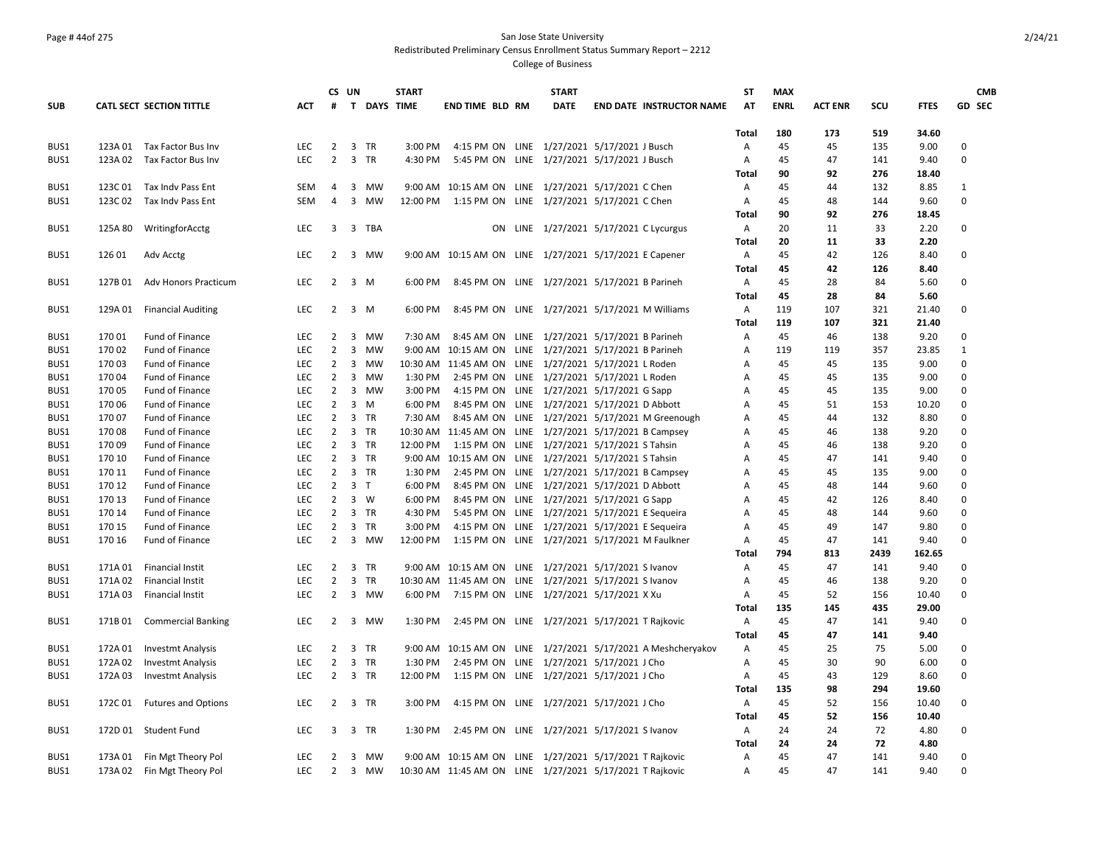### Page # 44of 275 San Jose State University Redistributed Preliminary Census Enrollment Status Summary Report – 2212

|            |         |                             |            |                | CS UN                       |                    | <b>START</b> |                                                          | <b>START</b>                           |                                                              | ST             | <b>MAX</b>  |                |      |             | <b>CMB</b>    |
|------------|---------|-----------------------------|------------|----------------|-----------------------------|--------------------|--------------|----------------------------------------------------------|----------------------------------------|--------------------------------------------------------------|----------------|-------------|----------------|------|-------------|---------------|
| <b>SUB</b> |         | CATL SECT SECTION TITTLE    | <b>ACT</b> | #              |                             | <b>T DAYS TIME</b> |              | <b>END TIME BLD RM</b>                                   | <b>DATE</b>                            | <b>END DATE INSTRUCTOR NAME</b>                              | AT             | <b>ENRL</b> | <b>ACT ENR</b> | scu  | <b>FTES</b> | <b>GD SEC</b> |
|            |         |                             |            |                |                             |                    |              |                                                          |                                        |                                                              |                |             |                |      |             |               |
|            |         |                             |            |                |                             |                    |              |                                                          |                                        |                                                              | Total          | 180         | 173            | 519  | 34.60       |               |
| BUS1       |         | 123A 01 Tax Factor Bus Inv  | <b>LEC</b> | $\overline{2}$ | 3 TR                        |                    | 3:00 PM      | 4:15 PM ON LINE 1/27/2021 5/17/2021 J Busch              |                                        |                                                              | Α              | 45          | 45             | 135  | 9.00        | $\mathbf 0$   |
| BUS1       |         | 123A 02 Tax Factor Bus Inv  | <b>LEC</b> | $\overline{2}$ | 3 TR                        |                    | 4:30 PM      | 5:45 PM ON LINE 1/27/2021 5/17/2021 J Busch              |                                        |                                                              | Α              | 45          | 47             | 141  | 9.40        | $\mathbf 0$   |
|            |         |                             |            |                |                             |                    |              |                                                          |                                        |                                                              | Total          | 90          | 92             | 276  | 18.40       |               |
| BUS1       |         | 123C 01 Tax Indy Pass Ent   | <b>SEM</b> | $\overline{4}$ | 3 MW                        |                    |              | 9:00 AM 10:15 AM ON LINE 1/27/2021 5/17/2021 C Chen      |                                        |                                                              | Α              | 45          | 44             | 132  | 8.85        | 1             |
| BUS1       | 123C 02 | Tax Indv Pass Ent           | SEM        | 4              | 3<br>MW                     |                    | 12:00 PM     | 1:15 PM ON LINE 1/27/2021 5/17/2021 C Chen               |                                        |                                                              | Α              | 45          | 48             | 144  | 9.60        | $\mathbf 0$   |
|            |         |                             |            |                |                             |                    |              |                                                          |                                        |                                                              | Total          | 90          | 92             | 276  | 18.45       |               |
| BUS1       | 125A 80 | WritingforAcctg             | <b>LEC</b> | 3              | 3 TBA                       |                    |              |                                                          | ON LINE 1/27/2021 5/17/2021 C Lycurgus |                                                              | A              | 20          | 11             | 33   | 2.20        | $\mathbf 0$   |
|            |         |                             |            |                |                             |                    |              |                                                          |                                        |                                                              | Total          | 20          | 11             | 33   | 2.20        |               |
| BUS1       | 126 01  | Adv Acctg                   | <b>LEC</b> | 2              | 3 MW                        |                    |              | 9:00 AM 10:15 AM ON LINE 1/27/2021 5/17/2021 E Capener   |                                        |                                                              | A              | 45          | 42             | 126  | 8.40        | $\mathbf 0$   |
|            |         |                             |            |                |                             |                    |              |                                                          |                                        |                                                              | <b>Total</b>   | 45          | 42             | 126  | 8.40        |               |
| BUS1       | 127B 01 | Adv Honors Practicum        | <b>LEC</b> | 2              | 3 M                         |                    | 6:00 PM      | 8:45 PM ON LINE 1/27/2021 5/17/2021 B Parineh            |                                        |                                                              | $\mathsf{A}$   | 45          | 28             | 84   | 5.60        | 0             |
|            |         |                             |            |                |                             |                    |              |                                                          |                                        |                                                              | <b>Total</b>   | 45          | 28             | 84   | 5.60        |               |
| BUS1       | 129A 01 | <b>Financial Auditing</b>   | <b>LEC</b> | 2              | 3 M                         |                    | 6:00 PM      | 8:45 PM ON LINE 1/27/2021 5/17/2021 M Williams           |                                        |                                                              | A              | 119         | 107            | 321  | 21.40       | 0             |
|            |         |                             |            |                |                             |                    |              |                                                          |                                        |                                                              | Total          | 119         | 107            | 321  | 21.40       |               |
| BUS1       | 17001   | Fund of Finance             | <b>LEC</b> | $\overline{2}$ | 3 MW                        |                    | 7:30 AM      | 8:45 AM ON LINE 1/27/2021 5/17/2021 B Parineh            |                                        |                                                              | Α              | 45          | 46             | 138  | 9.20        | $\mathbf 0$   |
| BUS1       | 17002   | Fund of Finance             | LEC        | 2              | $\overline{3}$<br>MW        |                    |              | 9:00 AM 10:15 AM ON LINE 1/27/2021 5/17/2021 B Parineh   |                                        |                                                              | Α              | 119         | 119            | 357  | 23.85       | $\mathbf{1}$  |
| BUS1       | 17003   | Fund of Finance             | <b>LEC</b> | $\overline{2}$ | 3<br>MW                     |                    |              | 10:30 AM 11:45 AM ON LINE 1/27/2021 5/17/2021 L Roden    |                                        |                                                              | A              | 45          | 45             | 135  | 9.00        | $\mathbf 0$   |
| BUS1       | 17004   | Fund of Finance             | LEC        | $\overline{2}$ | 3<br>MW                     |                    | 1:30 PM      | 2:45 PM ON LINE 1/27/2021 5/17/2021 L Roden              |                                        |                                                              | Α              | 45          | 45             | 135  | 9.00        | $\mathbf 0$   |
| BUS1       | 170 05  | Fund of Finance             | LEC        | 2              | 3 MW                        |                    | 3:00 PM      | 4:15 PM ON LINE 1/27/2021 5/17/2021 G Sapp               |                                        |                                                              | A              | 45          | 45             | 135  | 9.00        | $\mathbf 0$   |
| BUS1       | 170 06  | Fund of Finance             | LEC        | $\overline{2}$ | $\overline{3}$<br>M         |                    | 6:00 PM      | 8:45 PM ON LINE 1/27/2021 5/17/2021 D Abbott             |                                        |                                                              | A              | 45          | 51             | 153  | 10.20       | $\mathbf 0$   |
| BUS1       | 170 07  | Fund of Finance             | <b>LEC</b> | 2              | 3 TR                        |                    | 7:30 AM      |                                                          |                                        | 8:45 AM ON LINE 1/27/2021 5/17/2021 M Greenough              | Α              | 45          | 44             | 132  | 8.80        | 0             |
| BUS1       | 17008   | Fund of Finance             | LEC        | $\overline{2}$ | 3 TR                        |                    |              | 10:30 AM 11:45 AM ON LINE 1/27/2021 5/17/2021 B Campsey  |                                        |                                                              | Α              | 45          | 46             | 138  | 9.20        | $\mathbf 0$   |
| BUS1       | 17009   | Fund of Finance             | <b>LEC</b> | 2              | 3 TR                        |                    | 12:00 PM     | 1:15 PM ON LINE 1/27/2021 5/17/2021 S Tahsin             |                                        |                                                              | A              | 45          | 46             | 138  | 9.20        | 0             |
| BUS1       | 170 10  | Fund of Finance             | LEC        | $\overline{2}$ | 3 TR                        |                    |              | 9:00 AM 10:15 AM ON LINE 1/27/2021 5/17/2021 S Tahsin    |                                        |                                                              | A              | 45          | 47             | 141  | 9.40        | $\mathbf 0$   |
| BUS1       | 170 11  | Fund of Finance             | <b>LEC</b> | 2              | 3 TR                        |                    | 1:30 PM      | 2:45 PM ON LINE 1/27/2021 5/17/2021 B Campsey            |                                        |                                                              | $\overline{A}$ | 45          | 45             | 135  | 9.00        | $\mathbf 0$   |
| BUS1       | 170 12  | Fund of Finance             | <b>LEC</b> | $\overline{2}$ | 3 <sub>T</sub>              |                    | 6:00 PM      | 8:45 PM ON LINE 1/27/2021 5/17/2021 D Abbott             |                                        |                                                              | A              | 45          | 48             | 144  | 9.60        | $\mathbf 0$   |
| BUS1       | 170 13  | Fund of Finance             | <b>LEC</b> | $\overline{2}$ | $3 \quad W$                 |                    | 6:00 PM      | 8:45 PM ON LINE 1/27/2021 5/17/2021 G Sapp               |                                        |                                                              | A              | 45          | 42             | 126  | 8.40        | $\mathbf 0$   |
| BUS1       | 170 14  | Fund of Finance             | <b>LEC</b> | 2              | 3 TR                        |                    | 4:30 PM      | 5:45 PM ON LINE 1/27/2021 5/17/2021 E Sequeira           |                                        |                                                              | A              | 45          | 48             | 144  | 9.60        | $\mathbf 0$   |
| BUS1       | 170 15  | Fund of Finance             | <b>LEC</b> | $\overline{2}$ | 3<br>TR                     |                    | 3:00 PM      | 4:15 PM ON LINE 1/27/2021 5/17/2021 E Sequeira           |                                        |                                                              | $\mathsf{A}$   | 45          | 49             | 147  | 9.80        | $\mathbf 0$   |
| BUS1       | 170 16  | Fund of Finance             | <b>LEC</b> | $\overline{2}$ | 3 MW                        |                    | 12:00 PM     | 1:15 PM ON LINE 1/27/2021 5/17/2021 M Faulkner           |                                        |                                                              | A              | 45          | 47             | 141  | 9.40        | $\mathbf 0$   |
|            |         |                             |            |                |                             |                    |              |                                                          |                                        |                                                              | <b>Total</b>   | 794         | 813            | 2439 | 162.65      |               |
| BUS1       | 171A 01 | Financial Instit            | <b>LEC</b> | 2              | 3 TR                        |                    |              | 9:00 AM 10:15 AM ON LINE 1/27/2021 5/17/2021 S Ivanov    |                                        |                                                              | $\overline{A}$ | 45          | 47             | 141  | 9.40        | 0             |
| BUS1       | 171A 02 | Financial Instit            | LEC        | $\overline{2}$ | $\overline{3}$<br><b>TR</b> |                    |              | 10:30 AM 11:45 AM ON LINE 1/27/2021 5/17/2021 S Ivanov   |                                        |                                                              | Α              | 45          | 46             | 138  | 9.20        | $\mathbf 0$   |
| BUS1       | 171A 03 | Financial Instit            | <b>LEC</b> |                | 2 3 MW                      |                    | 6:00 PM      | 7:15 PM ON LINE 1/27/2021 5/17/2021 X Xu                 |                                        |                                                              | A              | 45          | 52             | 156  | 10.40       | $\mathbf 0$   |
|            |         |                             |            |                |                             |                    |              |                                                          |                                        |                                                              | Total          | 135         | 145            | 435  | 29.00       |               |
| BUS1       |         | 171B 01 Commercial Banking  | <b>LEC</b> | 2              | 3 MW                        |                    | 1:30 PM      | 2:45 PM ON LINE 1/27/2021 5/17/2021 T Rajkovic           |                                        |                                                              | A              | 45          | 47             | 141  | 9.40        | $\Omega$      |
|            |         |                             |            |                |                             |                    |              |                                                          |                                        |                                                              | <b>Total</b>   | 45          | 47             | 141  | 9.40        |               |
| BUS1       | 172A 01 | Investmt Analysis           | <b>LEC</b> | 2              | 3 TR                        |                    |              |                                                          |                                        | 9:00 AM 10:15 AM ON LINE 1/27/2021 5/17/2021 A Meshcheryakov | A              | 45          | 25             | 75   | 5.00        | $\mathbf 0$   |
| BUS1       | 172A 02 | <b>Investmt Analysis</b>    | <b>LEC</b> | $\overline{2}$ | 3 TR                        |                    | 1:30 PM      | 2:45 PM ON LINE 1/27/2021 5/17/2021 J Cho                |                                        |                                                              | Α              | 45          | 30             | 90   | 6.00        | $\mathbf 0$   |
| BUS1       | 172A 03 | <b>Investmt Analysis</b>    | <b>LEC</b> | 2              | 3 TR                        |                    | 12:00 PM     | 1:15 PM ON LINE 1/27/2021 5/17/2021 J Cho                |                                        |                                                              | Α              | 45          | 43             | 129  | 8.60        | $\mathbf 0$   |
|            |         |                             |            |                |                             |                    |              |                                                          |                                        |                                                              | <b>Total</b>   | 135         | 98             | 294  | 19.60       |               |
| BUS1       |         | 172C 01 Futures and Options | LEC.       | 2              | 3 TR                        |                    | 3:00 PM      | 4:15 PM ON LINE 1/27/2021 5/17/2021 J Cho                |                                        |                                                              | $\mathsf{A}$   | 45          | 52             | 156  | 10.40       | $\mathbf 0$   |
|            |         |                             |            |                |                             |                    |              |                                                          |                                        |                                                              | Total          | 45          | 52             | 156  | 10.40       |               |
| BUS1       | 172D 01 | <b>Student Fund</b>         | <b>LEC</b> | 3              | 3<br>TR                     |                    | 1:30 PM      | 2:45 PM ON LINE 1/27/2021 5/17/2021 S Ivanov             |                                        |                                                              | $\mathsf{A}$   | 24          | 24             | 72   | 4.80        | $\mathbf 0$   |
|            |         |                             |            |                |                             |                    |              |                                                          |                                        |                                                              | Total          | 24          | 24             | 72   | 4.80        |               |
| BUS1       |         | 173A 01 Fin Mgt Theory Pol  | LEC        | $\overline{2}$ | 3 MW                        |                    |              | 9:00 AM 10:15 AM ON LINE 1/27/2021 5/17/2021 T Rajkovic  |                                        |                                                              | Α              | 45          | 47             | 141  | 9.40        | 0             |
| BUS1       |         | 173A 02 Fin Mgt Theory Pol  | <b>LEC</b> | 2              | 3 MW                        |                    |              | 10:30 AM 11:45 AM ON LINE 1/27/2021 5/17/2021 T Rajkovic |                                        |                                                              | $\overline{A}$ | 45          | 47             | 141  | 9.40        | $\Omega$      |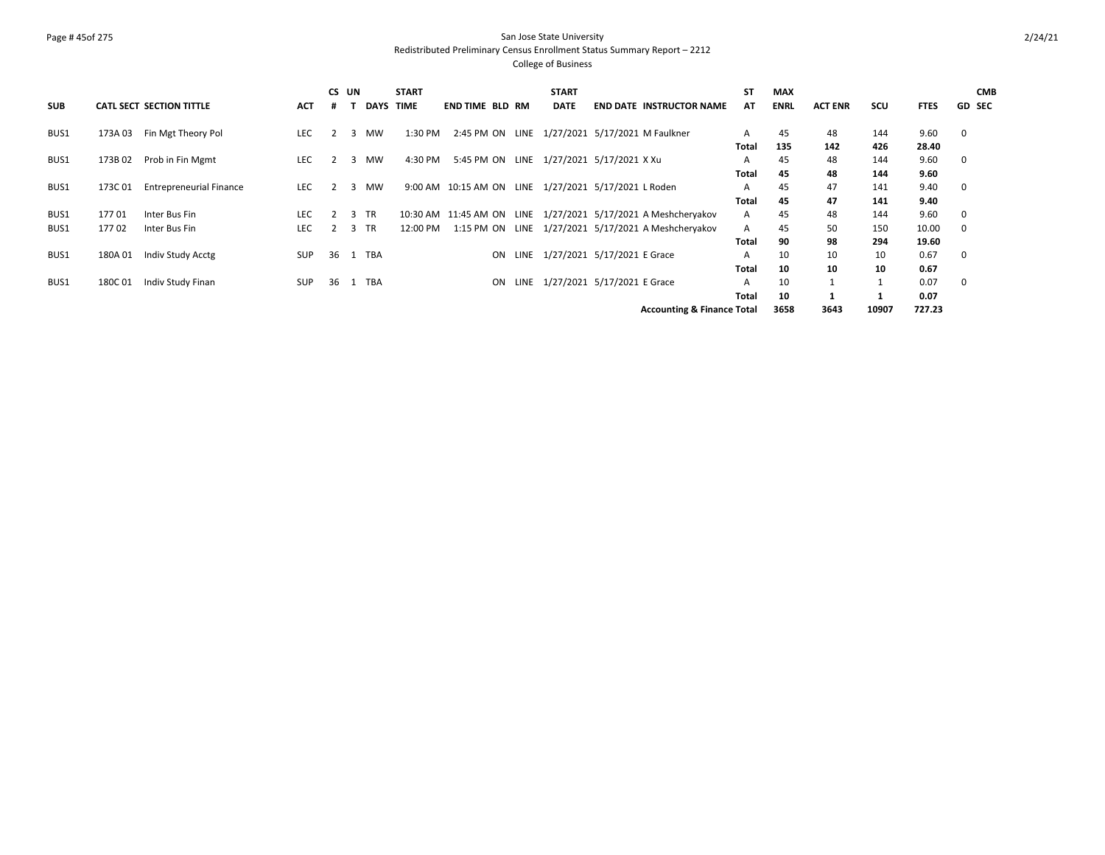# Page # 45of 275 San Jose State University Redistributed Preliminary Census Enrollment Status Summary Report – 2212

| <b>SUB</b> |         | <b>CATL SECT SECTION TITTLE</b> | <b>ACT</b> | CS UN |      | <b>DAYS</b> | <b>START</b><br>TIME | END TIME BLD RM                                      | <b>START</b><br><b>DATE</b>      | <b>END DATE INSTRUCTOR NAME</b>                               | <b>ST</b><br>AT | <b>MAX</b><br><b>ENRL</b> | <b>ACT ENR</b> | scu          | <b>FTES</b> | <b>CMB</b><br><b>GD SEC</b> |
|------------|---------|---------------------------------|------------|-------|------|-------------|----------------------|------------------------------------------------------|----------------------------------|---------------------------------------------------------------|-----------------|---------------------------|----------------|--------------|-------------|-----------------------------|
| BUS1       | 173A 03 | Fin Mgt Theory Pol              | <b>LEC</b> |       | 3    | MW          | 1:30 PM              | 2:45 PM ON LINE 1/27/2021 5/17/2021 M Faulkner       |                                  |                                                               | A               | 45                        | 48             | 144          | 9.60        | 0                           |
|            |         |                                 |            |       |      |             |                      |                                                      |                                  |                                                               | <b>Total</b>    | 135                       | 142            | 426          | 28.40       |                             |
| BUS1       | 173B 02 | Prob in Fin Mgmt                | <b>LEC</b> |       | 3    | MW          | 4:30 PM              | 5:45 PM ON LINE 1/27/2021 5/17/2021 X Xu             |                                  |                                                               | A               | 45                        | 48             | 144          | 9.60        | $\mathbf 0$                 |
|            |         |                                 |            |       |      |             |                      |                                                      |                                  |                                                               | <b>Total</b>    | 45                        | 48             | 144          | 9.60        |                             |
| BUS1       | 173C01  | <b>Entrepreneurial Finance</b>  | <b>LEC</b> |       | 3    | MW          |                      | 9:00 AM 10:15 AM ON LINE 1/27/2021 5/17/2021 L Roden |                                  |                                                               | A               | 45                        | 47             | 141          | 9.40        | 0                           |
|            |         |                                 |            |       |      |             |                      |                                                      |                                  |                                                               | <b>Total</b>    | 45                        | 47             | 141          | 9.40        |                             |
| BUS1       | 17701   | Inter Bus Fin                   | <b>LEC</b> |       | 3 TR |             |                      |                                                      |                                  | 10:30 AM 11:45 AM ON LINE 1/27/2021 5/17/2021 A Meshcheryakov | A               | 45                        | 48             | 144          | 9.60        | 0                           |
| BUS1       | 17702   | Inter Bus Fin                   | <b>LEC</b> |       | 3 TR |             | 12:00 PM             |                                                      |                                  | 1:15 PM ON LINE 1/27/2021 5/17/2021 A Meshcheryakov           | A               | 45                        | 50             | 150          | 10.00       | $\mathbf 0$                 |
|            |         |                                 |            |       |      |             |                      |                                                      |                                  |                                                               | <b>Total</b>    | 90                        | 98             | 294          | 19.60       |                             |
| BUS1       | 180A01  | Indiv Study Acctg               | <b>SUP</b> | 36    | 1    | TBA         |                      | ON                                                   | LINE 1/27/2021 5/17/2021 E Grace |                                                               | A               | 10                        | 10             | 10           | 0.67        | 0                           |
|            |         |                                 |            |       |      |             |                      |                                                      |                                  |                                                               | <b>Total</b>    | 10                        | 10             | 10           | 0.67        |                             |
| BUS1       | 180C 01 | Indiv Study Finan               | <b>SUP</b> | 36    | 1    | TBA         |                      | ON                                                   | LINE 1/27/2021 5/17/2021 E Grace |                                                               | A               | 10                        |                | $\mathbf{1}$ | 0.07        | 0                           |
|            |         |                                 |            |       |      |             |                      |                                                      |                                  |                                                               | <b>Total</b>    | 10                        |                |              | 0.07        |                             |
|            |         |                                 |            |       |      |             |                      |                                                      |                                  | <b>Accounting &amp; Finance Total</b>                         |                 | 3658                      | 3643           | 10907        | 727.23      |                             |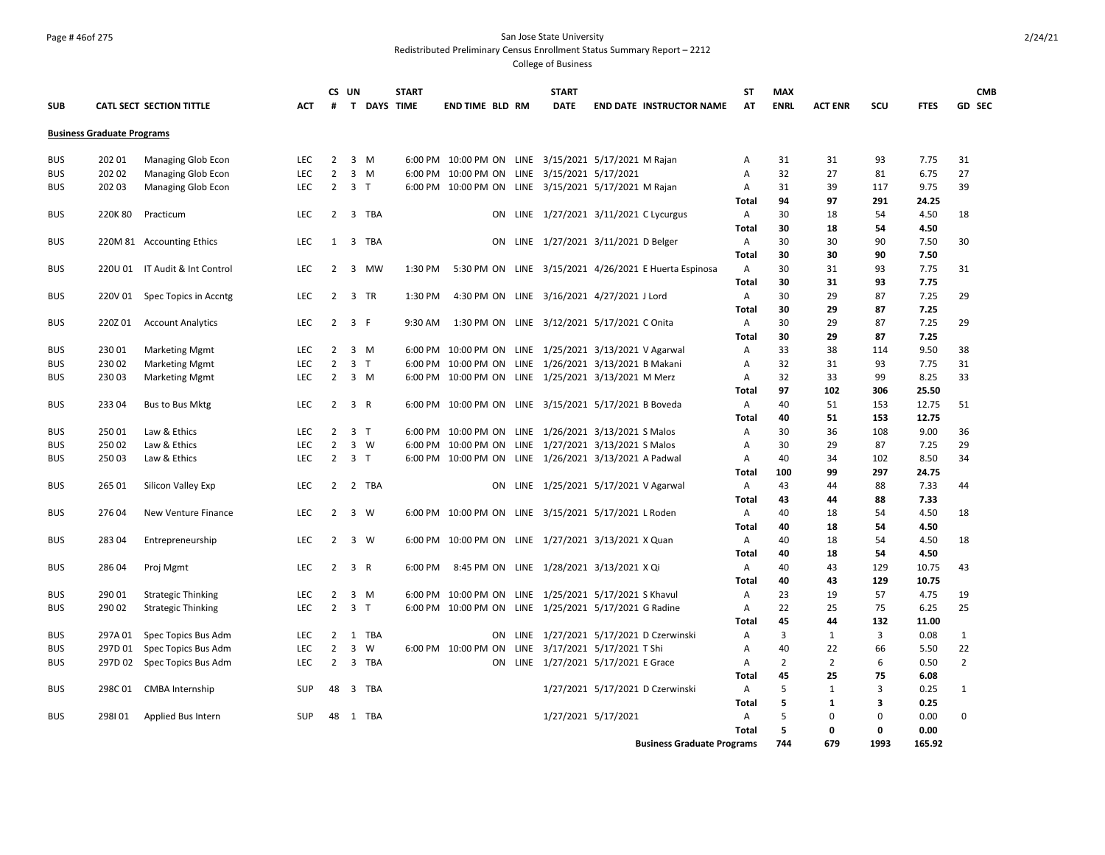### Page # 46of 275 San Jose State University Redistributed Preliminary Census Enrollment Status Summary Report – 2212

| <b>SUB</b> |                                   | <b>CATL SECT SECTION TITTLE</b> | <b>ACT</b> | #              | CS UN               | T DAYS TIME | <b>START</b> | END TIME BLD RM                              | <b>START</b><br><b>DATE</b> | <b>END DATE INSTRUCTOR NAME</b>                        | <b>ST</b><br>AT | <b>MAX</b><br><b>ENRL</b> | <b>ACT ENR</b> | SCU         | <b>FTES</b> | <b>CMB</b><br><b>GD SEC</b> |
|------------|-----------------------------------|---------------------------------|------------|----------------|---------------------|-------------|--------------|----------------------------------------------|-----------------------------|--------------------------------------------------------|-----------------|---------------------------|----------------|-------------|-------------|-----------------------------|
|            | <b>Business Graduate Programs</b> |                                 |            |                |                     |             |              |                                              |                             |                                                        |                 |                           |                |             |             |                             |
| <b>BUS</b> | 202 01                            | Managing Glob Econ              | <b>LEC</b> | 2              | 3<br>M              |             | 6:00 PM      |                                              |                             | 10:00 PM ON LINE 3/15/2021 5/17/2021 M Rajan           | A               | 31                        | 31             | 93          | 7.75        | 31                          |
| <b>BUS</b> | 202 02                            | <b>Managing Glob Econ</b>       | LEC        | $\overline{2}$ | $\overline{3}$<br>M |             |              | 6:00 PM 10:00 PM ON LINE 3/15/2021 5/17/2021 |                             |                                                        | Α               | 32                        | 27             | 81          | 6.75        | 27                          |
| <b>BUS</b> | 202 03                            | <b>Managing Glob Econ</b>       | <b>LEC</b> | 2              | 3<br>$\mathsf{T}$   |             |              |                                              |                             | 6:00 PM 10:00 PM ON LINE 3/15/2021 5/17/2021 M Rajan   | Α               | 31                        | 39             | 117         | 9.75        | 39                          |
|            |                                   |                                 |            |                |                     |             |              |                                              |                             |                                                        | Total           | 94                        | 97             | 291         | 24.25       |                             |
| <b>BUS</b> | 220K 80                           | Practicum                       | <b>LEC</b> | 2              | 3                   | TBA         |              | <b>ON</b>                                    |                             | LINE 1/27/2021 3/11/2021 C Lycurgus                    | $\mathsf{A}$    | 30                        | 18             | 54          | 4.50        | 18                          |
|            |                                   |                                 |            |                |                     |             |              |                                              |                             |                                                        | <b>Total</b>    | 30                        | 18             | 54          | 4.50        |                             |
| <b>BUS</b> |                                   | 220M 81 Accounting Ethics       | <b>LEC</b> | 1              | 3                   | TBA         |              | ON                                           |                             | LINE 1/27/2021 3/11/2021 D Belger                      | A               | 30                        | 30             | 90          | 7.50        | 30                          |
|            |                                   |                                 |            |                |                     |             |              |                                              |                             |                                                        | <b>Total</b>    | 30                        | 30             | 90          | 7.50        |                             |
| <b>BUS</b> |                                   | 220U 01 IT Audit & Int Control  | <b>LEC</b> | 2              | 3                   | MW          | 1:30 PM      |                                              |                             | 5:30 PM ON LINE 3/15/2021 4/26/2021 E Huerta Espinosa  | A               | 30                        | 31             | 93          | 7.75        | 31                          |
|            |                                   |                                 |            |                |                     |             |              |                                              |                             |                                                        | <b>Total</b>    | 30                        | 31             | 93          | 7.75        |                             |
| <b>BUS</b> | 220V 01                           | Spec Topics in Accntg           | <b>LEC</b> | 2              | 3 TR                |             | 1:30 PM      |                                              |                             | 4:30 PM ON LINE 3/16/2021 4/27/2021 J Lord             | $\mathsf{A}$    | 30                        | 29             | 87          | 7.25        | 29                          |
|            |                                   |                                 |            |                |                     |             |              |                                              |                             |                                                        | Total           | 30                        | 29             | 87          | 7.25        |                             |
| <b>BUS</b> | 220Z 01                           | <b>Account Analytics</b>        | <b>LEC</b> | $\overline{2}$ | 3 F                 |             | 9:30 AM      |                                              |                             | 1:30 PM ON LINE 3/12/2021 5/17/2021 C Onita            | A               | 30                        | 29             | 87          | 7.25        | 29                          |
|            |                                   |                                 |            |                |                     |             |              |                                              |                             |                                                        | Total           | 30                        | 29             | 87          | 7.25        |                             |
| <b>BUS</b> | 230 01                            | <b>Marketing Mgmt</b>           | <b>LEC</b> | 2              | 3 M                 |             |              |                                              |                             | 6:00 PM 10:00 PM ON LINE 1/25/2021 3/13/2021 V Agarwal | A               | 33                        | 38             | 114         | 9.50        | 38                          |
| <b>BUS</b> | 230 02                            | <b>Marketing Mgmt</b>           | <b>LEC</b> | 2              | 3 <sub>T</sub>      |             |              |                                              |                             | 6:00 PM 10:00 PM ON LINE 1/26/2021 3/13/2021 B Makani  | Α               | 32                        | 31             | 93          | 7.75        | 31                          |
| <b>BUS</b> | 23003                             | <b>Marketing Mgmt</b>           | <b>LEC</b> | 2              | 3 M                 |             |              |                                              |                             | 6:00 PM 10:00 PM ON LINE 1/25/2021 3/13/2021 M Merz    | $\overline{A}$  | 32                        | 33             | 99          | 8.25        | 33                          |
|            |                                   |                                 |            |                |                     |             |              |                                              |                             |                                                        | <b>Total</b>    | 97                        | 102            | 306         | 25.50       |                             |
| <b>BUS</b> | 233 04                            | Bus to Bus Mktg                 | <b>LEC</b> | $\overline{2}$ | 3 R                 |             |              |                                              |                             | 6:00 PM 10:00 PM ON LINE 3/15/2021 5/17/2021 B Boveda  | $\mathsf{A}$    | 40                        | 51             | 153         | 12.75       | 51                          |
|            |                                   |                                 |            |                |                     |             |              |                                              |                             |                                                        | <b>Total</b>    | 40                        | 51             | 153         | 12.75       |                             |
| <b>BUS</b> | 250 01                            | Law & Ethics                    | <b>LEC</b> | $\overline{2}$ | 3 <sub>T</sub>      |             |              |                                              |                             | 6:00 PM 10:00 PM ON LINE 1/26/2021 3/13/2021 S Malos   | A               | 30                        | 36             | 108         | 9.00        | 36                          |
| <b>BUS</b> | 25002                             | Law & Ethics                    | <b>LEC</b> | $\overline{2}$ | 3<br>W              |             |              |                                              |                             | 6:00 PM 10:00 PM ON LINE 1/27/2021 3/13/2021 S Malos   | A               | 30                        | 29             | 87          | 7.25        | 29                          |
| <b>BUS</b> | 25003                             | Law & Ethics                    | <b>LEC</b> | $\overline{2}$ | 3 <sub>T</sub>      |             |              |                                              |                             | 6:00 PM 10:00 PM ON LINE 1/26/2021 3/13/2021 A Padwal  | Α               | 40                        | 34             | 102         | 8.50        | 34                          |
|            |                                   |                                 |            |                |                     |             |              |                                              |                             |                                                        | <b>Total</b>    | 100                       | 99             | 297         | 24.75       |                             |
| <b>BUS</b> | 265 01                            | Silicon Valley Exp              | <b>LEC</b> |                | 2 2 TBA             |             |              |                                              |                             | ON LINE 1/25/2021 5/17/2021 V Agarwal                  | A               | 43                        | 44             | 88          | 7.33        | 44                          |
|            |                                   |                                 |            |                |                     |             |              |                                              |                             |                                                        | <b>Total</b>    | 43                        | 44             | 88          | 7.33        |                             |
| <b>BUS</b> | 276 04                            | New Venture Finance             | LEC        | 2              | 3<br>W              |             |              |                                              |                             | 6:00 PM 10:00 PM ON LINE 3/15/2021 5/17/2021 L Roden   | A               | 40                        | 18             | 54          | 4.50        | 18                          |
|            |                                   |                                 |            |                |                     |             |              |                                              |                             |                                                        | <b>Total</b>    | 40                        | 18             | 54          | 4.50        |                             |
| <b>BUS</b> | 283 04                            | Entrepreneurship                | <b>LEC</b> | 2              | 3 W                 |             |              |                                              |                             | 6:00 PM 10:00 PM ON LINE 1/27/2021 3/13/2021 X Quan    | $\mathsf{A}$    | 40                        | 18             | 54          | 4.50        | 18                          |
|            |                                   |                                 |            |                |                     |             |              |                                              |                             |                                                        | Total           | 40                        | 18             | 54          | 4.50        |                             |
| <b>BUS</b> | 286 04                            | Proj Mgmt                       | <b>LEC</b> | 2              | 3 R                 |             | 6:00 PM      |                                              |                             | 8:45 PM ON LINE 1/28/2021 3/13/2021 X Qi               | A               | 40                        | 43             | 129         | 10.75       | 43                          |
|            |                                   |                                 |            |                |                     |             |              |                                              |                             |                                                        | <b>Total</b>    | 40                        | 43             | 129         | 10.75       |                             |
| <b>BUS</b> | 290 01                            | <b>Strategic Thinking</b>       | <b>LEC</b> | 2              | $3 \, M$            |             |              |                                              |                             | 6:00 PM 10:00 PM ON LINE 1/25/2021 5/17/2021 S Khavul  | $\overline{A}$  | 23                        | 19             | 57          | 4.75        | 19                          |
| <b>BUS</b> | 290 02                            | <b>Strategic Thinking</b>       | <b>LEC</b> | $\overline{2}$ | 3 <sub>1</sub>      |             |              |                                              |                             | 6:00 PM 10:00 PM ON LINE 1/25/2021 5/17/2021 G Radine  | A               | 22                        | 25             | 75          | 6.25        | 25                          |
|            |                                   |                                 |            |                |                     |             |              |                                              |                             |                                                        | <b>Total</b>    | 45                        | 44             | 132         | 11.00       |                             |
| <b>BUS</b> | 297A01                            | Spec Topics Bus Adm             | <b>LEC</b> | $\overline{2}$ | $\mathbf{1}$        | TBA         |              | ON                                           |                             | LINE 1/27/2021 5/17/2021 D Czerwinski                  | A               | 3                         | $\mathbf{1}$   | 3           | 0.08        | $\mathbf{1}$                |
| <b>BUS</b> | 297D 01                           | Spec Topics Bus Adm             | LEC        | $\overline{2}$ | $\overline{3}$<br>W |             |              | 6:00 PM 10:00 PM ON                          |                             | LINE 3/17/2021 5/17/2021 T Shi                         | Α               | 40                        | 22             | 66          | 5.50        | 22                          |
| <b>BUS</b> | 297D 02                           | Spec Topics Bus Adm             | <b>LEC</b> | 2              | 3 TBA               |             |              |                                              |                             | ON LINE 1/27/2021 5/17/2021 E Grace                    | $\mathsf{A}$    | $\overline{2}$            | 2              | 6           | 0.50        | $\overline{2}$              |
|            |                                   |                                 |            |                |                     |             |              |                                              |                             |                                                        | Total           | 45                        | 25             | 75          | 6.08        |                             |
| <b>BUS</b> | 298C 01                           | <b>CMBA</b> Internship          | SUP        | 48             | 3                   | TBA         |              |                                              |                             | 1/27/2021 5/17/2021 D Czerwinski                       | A               | 5                         | $\mathbf{1}$   | 3           | 0.25        | 1                           |
|            |                                   |                                 |            |                |                     |             |              |                                              |                             |                                                        | <b>Total</b>    | 5                         | $\mathbf{1}$   | 3           | 0.25        |                             |
| <b>BUS</b> | 298101                            | Applied Bus Intern              | SUP        | 48             | 1 TBA               |             |              |                                              |                             | 1/27/2021 5/17/2021                                    | A               | 5                         | $\Omega$       | $\mathbf 0$ | 0.00        | $\Omega$                    |
|            |                                   |                                 |            |                |                     |             |              |                                              |                             |                                                        | <b>Total</b>    | 5                         | $\Omega$       | 0           | 0.00        |                             |
|            |                                   |                                 |            |                |                     |             |              |                                              |                             | <b>Business Graduate Programs</b>                      |                 | 744                       | 679            | 1993        | 165.92      |                             |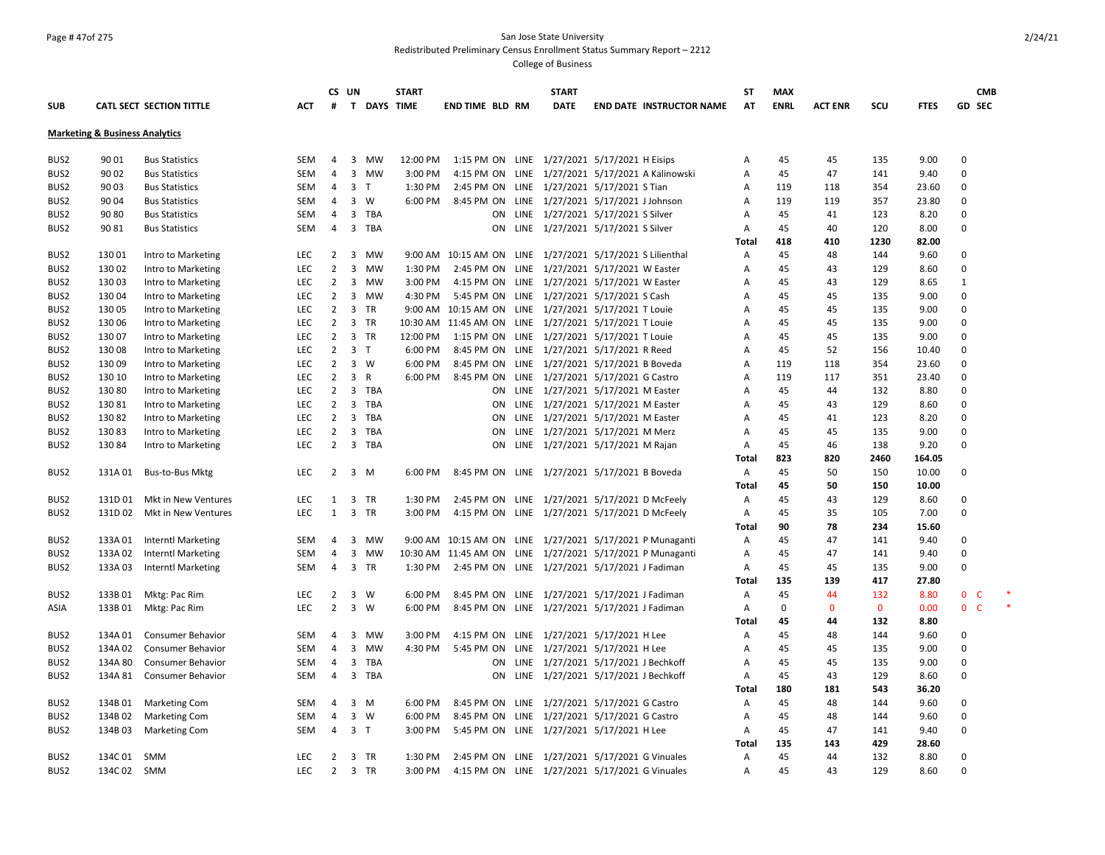### Page # 47of 275 San Jose State University Redistributed Preliminary Census Enrollment Status Summary Report – 2212

|                  |                                           |                           |            |                | CS UN                                   | <b>START</b> |                        | <b>START</b> |                                                           | <b>ST</b>      | <b>MAX</b>  |                |              |             | <b>CMB</b>               |  |
|------------------|-------------------------------------------|---------------------------|------------|----------------|-----------------------------------------|--------------|------------------------|--------------|-----------------------------------------------------------|----------------|-------------|----------------|--------------|-------------|--------------------------|--|
| <b>SUB</b>       |                                           | CATL SECT SECTION TITTLE  | ACT        | #              |                                         | T DAYS TIME  | <b>END TIME BLD RM</b> | <b>DATE</b>  | <b>END DATE INSTRUCTOR NAME</b>                           | AT             | <b>ENRL</b> | <b>ACT ENR</b> | scu          | <b>FTES</b> | GD SEC                   |  |
|                  | <b>Marketing &amp; Business Analytics</b> |                           |            |                |                                         |              |                        |              |                                                           |                |             |                |              |             |                          |  |
|                  |                                           |                           |            |                |                                         |              |                        |              |                                                           |                |             |                |              |             |                          |  |
| BUS2             | 90 01                                     | <b>Bus Statistics</b>     | SEM        | $\overline{4}$ | 3<br>MW                                 | 12:00 PM     |                        |              | 1:15 PM ON LINE 1/27/2021 5/17/2021 H Eisips              | Α              | 45          | 45             | 135          | 9.00        | 0                        |  |
| BUS2             | 90 02                                     | <b>Bus Statistics</b>     | SEM        | $\overline{4}$ | $\overline{3}$<br><b>MW</b>             | 3:00 PM      |                        |              | 4:15 PM ON LINE 1/27/2021 5/17/2021 A Kalinowski          | Α              | 45          | 47             | 141          | 9.40        | 0                        |  |
| BUS2             | 90 03                                     | <b>Bus Statistics</b>     | SEM        | 4              | $\overline{3}$<br>$\mathsf{T}$          | 1:30 PM      |                        |              | 2:45 PM ON LINE 1/27/2021 5/17/2021 S Tian                | Α              | 119         | 118            | 354          | 23.60       | 0                        |  |
| BUS <sub>2</sub> | 90 04                                     | <b>Bus Statistics</b>     | SEM        | 4              | $\overline{3}$<br>W                     | 6:00 PM      |                        |              | 8:45 PM ON LINE 1/27/2021 5/17/2021 J Johnson             | A              | 119         | 119            | 357          | 23.80       | 0                        |  |
| BUS2             | 90 80                                     | <b>Bus Statistics</b>     | SEM        | $\overline{4}$ | 3<br>TBA                                |              |                        |              | ON LINE 1/27/2021 5/17/2021 S Silver                      | $\overline{A}$ | 45          | 41             | 123          | 8.20        | 0                        |  |
| BUS <sub>2</sub> | 90 81                                     | <b>Bus Statistics</b>     | <b>SEM</b> | 4              | $\overline{\mathbf{3}}$<br>TBA          |              |                        |              | ON LINE 1/27/2021 5/17/2021 S Silver                      | Α              | 45          | 40             | 120          | 8.00        | 0                        |  |
|                  |                                           |                           |            |                |                                         |              |                        |              |                                                           | <b>Total</b>   | 418         | 410            | 1230         | 82.00       |                          |  |
| BUS <sub>2</sub> | 13001                                     | Intro to Marketing        | LEC        | 2              | 3<br>MW                                 |              |                        |              | 9:00 AM 10:15 AM ON LINE 1/27/2021 5/17/2021 S Lilienthal | Α              | 45          | 48             | 144          | 9.60        | 0                        |  |
| BUS2             | 130 02                                    | Intro to Marketing        | <b>LEC</b> | 2              | $\overline{3}$<br><b>MW</b>             | 1:30 PM      |                        |              | 2:45 PM ON LINE 1/27/2021 5/17/2021 W Easter              | Α              | 45          | 43             | 129          | 8.60        | $\mathbf 0$              |  |
| BUS2             | 130 03                                    | Intro to Marketing        | <b>LEC</b> | $\overline{2}$ | 3 MW                                    | 3:00 PM      |                        |              | 4:15 PM ON LINE 1/27/2021 5/17/2021 W Easter              | A              | 45          | 43             | 129          | 8.65        | $\mathbf{1}$             |  |
| BUS2             | 13004                                     | Intro to Marketing        | LEC        | $\overline{2}$ | $\overline{3}$<br><b>MW</b>             | 4:30 PM      |                        |              | 5:45 PM ON LINE 1/27/2021 5/17/2021 S Cash                | Α              | 45          | 45             | 135          | 9.00        | $\mathbf 0$              |  |
| BUS2             | 130 05                                    | Intro to Marketing        | <b>LEC</b> | $\overline{2}$ | $\overline{\mathbf{3}}$<br>TR           |              |                        |              | 9:00 AM 10:15 AM ON LINE 1/27/2021 5/17/2021 T Louie      | Α              | 45          | 45             | 135          | 9.00        | $\Omega$                 |  |
| BUS2             | 130 06                                    | Intro to Marketing        | <b>LEC</b> | $\overline{2}$ | $\overline{3}$<br><b>TR</b>             |              |                        |              | 10:30 AM 11:45 AM ON LINE 1/27/2021 5/17/2021 T Louie     | A              | 45          | 45             | 135          | 9.00        | $\Omega$                 |  |
| BUS2             | 130 07                                    | Intro to Marketing        | <b>LEC</b> | $\overline{2}$ | $\overline{\mathbf{3}}$<br>TR           | 12:00 PM     |                        |              | 1:15 PM ON LINE 1/27/2021 5/17/2021 T Louie               | A              | 45          | 45             | 135          | 9.00        | 0                        |  |
| BUS2             | 130 08                                    | Intro to Marketing        | <b>LEC</b> | 2              | $\overline{\mathbf{3}}$<br>$\mathsf{T}$ | 6:00 PM      |                        |              | 8:45 PM ON LINE 1/27/2021 5/17/2021 R Reed                | Α              | 45          | 52             | 156          | 10.40       | $\mathbf 0$              |  |
| BUS2             | 130 09                                    | Intro to Marketing        | <b>LEC</b> | $\overline{2}$ | 3 W                                     | 6:00 PM      |                        |              | 8:45 PM ON LINE 1/27/2021 5/17/2021 B Boveda              | Α              | 119         | 118            | 354          | 23.60       | 0                        |  |
| BUS2             | 130 10                                    | Intro to Marketing        | <b>LEC</b> | $\overline{2}$ | $\overline{3}$<br>R                     | 6:00 PM      |                        |              | 8:45 PM ON LINE 1/27/2021 5/17/2021 G Castro              | Α              | 119         | 117            | 351          | 23.40       | 0                        |  |
| BUS2             | 130 80                                    | Intro to Marketing        | <b>LEC</b> | $\overline{2}$ | $\overline{\mathbf{3}}$<br>TBA          |              |                        |              | ON LINE 1/27/2021 5/17/2021 M Easter                      | Α              | 45          | 44             | 132          | 8.80        | 0                        |  |
| BUS <sub>2</sub> | 13081                                     | Intro to Marketing        | <b>LEC</b> | 2              | $\overline{3}$<br>TBA                   |              |                        |              | ON LINE 1/27/2021 5/17/2021 M Easter                      | Α              | 45          | 43             | 129          | 8.60        | 0                        |  |
| BUS2             | 13082                                     | Intro to Marketing        | <b>LEC</b> | 2              | $\overline{3}$<br>TBA                   |              |                        |              | ON LINE 1/27/2021 5/17/2021 M Easter                      | Α              | 45          | 41             | 123          | 8.20        | 0                        |  |
| BUS2             | 13083                                     | Intro to Marketing        | <b>LEC</b> | 2              | $\overline{3}$<br>TBA                   |              | <b>ON</b>              |              | LINE 1/27/2021 5/17/2021 M Merz                           | Α              | 45          | 45             | 135          | 9.00        | 0                        |  |
| BUS2             | 130 84                                    | Intro to Marketing        | <b>LEC</b> | 2              | 3 TBA                                   |              |                        |              | ON LINE 1/27/2021 5/17/2021 M Rajan                       | Α              | 45          | 46             | 138          | 9.20        | 0                        |  |
|                  |                                           |                           |            |                |                                         |              |                        |              |                                                           | Total          | 823         | 820            | 2460         | 164.05      |                          |  |
| BUS2             | 131A 01                                   | Bus-to-Bus Mktg           | <b>LEC</b> | $\overline{2}$ | $\overline{\mathbf{3}}$<br>M            | 6:00 PM      |                        |              | 8:45 PM ON LINE 1/27/2021 5/17/2021 B Boveda              | Α              | 45          | 50             | 150          | 10.00       | 0                        |  |
|                  |                                           |                           |            |                |                                         |              |                        |              |                                                           | Total          | 45          | 50             | 150          | 10.00       |                          |  |
| BUS2             | 131D 01                                   | Mkt in New Ventures       | <b>LEC</b> | 1              | $\overline{\mathbf{3}}$<br>TR           | 1:30 PM      |                        |              | 2:45 PM ON LINE 1/27/2021 5/17/2021 D McFeely             | Α              | 45          | 43             | 129          | 8.60        | 0                        |  |
| BUS <sub>2</sub> | 131D 02                                   | Mkt in New Ventures       | <b>LEC</b> | 1              | $\overline{\mathbf{3}}$<br>TR           | 3:00 PM      |                        |              | 4:15 PM ON LINE 1/27/2021 5/17/2021 D McFeely             | Α              | 45          | 35             | 105          | 7.00        | 0                        |  |
|                  |                                           |                           |            |                |                                         |              |                        |              |                                                           | Total          | 90          | 78             | 234          | 15.60       |                          |  |
| BUS2             | 133A 01                                   | <b>Interntl Marketing</b> | SEM        | 4              | $\overline{\mathbf{3}}$<br>MW           |              |                        |              | 9:00 AM 10:15 AM ON LINE 1/27/2021 5/17/2021 P Munaganti  | A              | 45          | 47             | 141          | 9.40        | 0                        |  |
| BUS2             | 133A 02                                   | <b>Interntl Marketing</b> | SEM        | 4              | $\overline{\mathbf{3}}$<br><b>MW</b>    |              |                        |              | 10:30 AM 11:45 AM ON LINE 1/27/2021 5/17/2021 P Munaganti | Α              | 45          | 47             | 141          | 9.40        | $\mathbf 0$              |  |
| BUS <sub>2</sub> | 133A 03                                   | <b>Interntl Marketing</b> | SEM        | 4              | $\overline{\mathbf{3}}$<br>TR           |              |                        |              | 1:30 PM 2:45 PM ON LINE 1/27/2021 5/17/2021 J Fadiman     | Α              | 45          | 45             | 135          | 9.00        | 0                        |  |
|                  |                                           |                           |            |                |                                         |              |                        |              |                                                           | Total          | 135         | 139            | 417          | 27.80       |                          |  |
| BUS <sub>2</sub> | 133B 01                                   | Mktg: Pac Rim             | LEC        | 2              | $\overline{\mathbf{3}}$<br>W            | 6:00 PM      |                        |              | 8:45 PM ON LINE 1/27/2021 5/17/2021 J Fadiman             | A              | 45          | 44             | 132          | 8.80        | $\mathbf{0}$<br><b>C</b> |  |
| ASIA             | 133B 01                                   | Mktg: Pac Rim             | <b>LEC</b> | 2              | $\overline{3}$<br>W                     | 6:00 PM      |                        |              | 8:45 PM ON LINE 1/27/2021 5/17/2021 J Fadiman             | Α              | $\Omega$    | $\Omega$       | $\mathbf{0}$ | 0.00        | $\mathbf{0}$<br><b>C</b> |  |
|                  |                                           |                           |            |                |                                         |              |                        |              |                                                           | Total          | 45          | 44             | 132          | 8.80        |                          |  |
| BUS <sub>2</sub> | 134A 01                                   | <b>Consumer Behavior</b>  | <b>SEM</b> | 4              | $\overline{3}$<br>MW                    | 3:00 PM      |                        |              | 4:15 PM ON LINE 1/27/2021 5/17/2021 H Lee                 | Α              | 45          | 48             | 144          | 9.60        | 0                        |  |
| BUS2             | 134A 02                                   | Consumer Behavior         | <b>SEM</b> | 4              | $\overline{3}$<br><b>MW</b>             | 4:30 PM      |                        |              | 5:45 PM ON LINE 1/27/2021 5/17/2021 H Lee                 | Α              | 45          | 45             | 135          | 9.00        | 0                        |  |
| BUS2             | 134A 80                                   | <b>Consumer Behavior</b>  | SEM        | 4              | $\overline{3}$<br>TBA                   |              |                        |              | ON LINE 1/27/2021 5/17/2021 J Bechkoff                    | Α              | 45          | 45             | 135          | 9.00        | $\mathbf 0$              |  |
| BUS2             |                                           | 134A 81 Consumer Behavior | SEM        | 4              | $\overline{3}$<br><b>TBA</b>            |              |                        |              | ON LINE 1/27/2021 5/17/2021 J Bechkoff                    | A              | 45          | 43             | 129          | 8.60        | $\mathbf 0$              |  |
|                  |                                           |                           |            |                |                                         |              |                        |              |                                                           | Total          | 180         | 181            | 543          | 36.20       |                          |  |
| BUS2             | 134B01                                    | <b>Marketing Com</b>      | SEM        | $\overline{4}$ | 3<br>M                                  | 6:00 PM      |                        |              | 8:45 PM ON LINE 1/27/2021 5/17/2021 G Castro              | Α              | 45          | 48             | 144          | 9.60        | 0                        |  |
| BUS <sub>2</sub> | 134B 02                                   | <b>Marketing Com</b>      | SEM        | $\overline{4}$ | 3<br>W                                  | 6:00 PM      |                        |              | 8:45 PM ON LINE 1/27/2021 5/17/2021 G Castro              | Α              | 45          | 48             | 144          | 9.60        | 0                        |  |
| BUS2             | 134B03                                    | <b>Marketing Com</b>      | SEM        | 4              | $\overline{\mathbf{3}}$<br>T            | 3:00 PM      |                        |              | 5:45 PM ON LINE 1/27/2021 5/17/2021 H Lee                 | A              | 45          | 47             | 141          | 9.40        | 0                        |  |
|                  |                                           |                           |            |                |                                         |              |                        |              |                                                           | Total          | 135         | 143            | 429          | 28.60       |                          |  |
| BUS2             | 134C 01                                   | SMM                       | <b>LEC</b> | $2^{\circ}$    | $\overline{\mathbf{3}}$<br>TR           | 1:30 PM      |                        |              | 2:45 PM ON LINE 1/27/2021 5/17/2021 G Vinuales            | Α              | 45          | 44             | 132          | 8.80        | 0                        |  |
| BUS2             | 134C 02 SMM                               |                           | <b>LEC</b> | $2^{\circ}$    | $\overline{\mathbf{3}}$<br>TR           | 3:00 PM      |                        |              | 4:15 PM ON LINE 1/27/2021 5/17/2021 G Vinuales            | Α              | 45          | 43             | 129          | 8.60        | $\Omega$                 |  |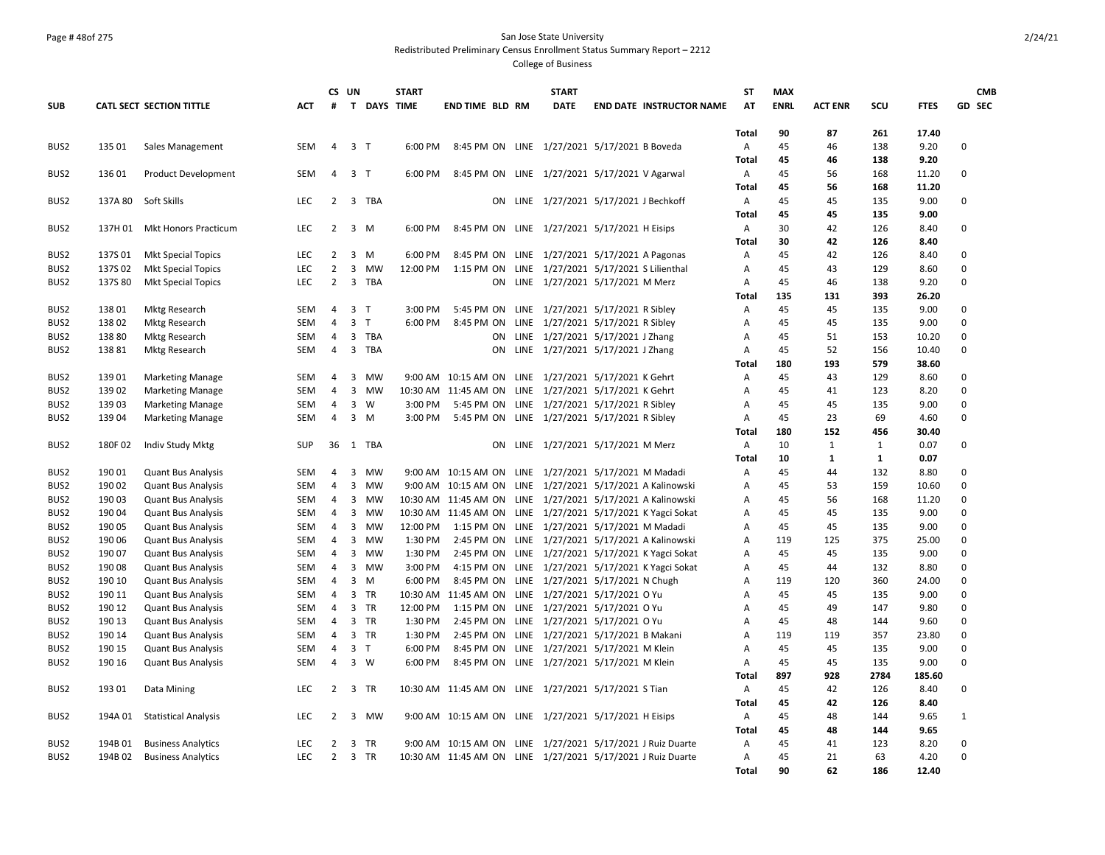### Page # 48of 275 San Jose State University Redistributed Preliminary Census Enrollment Status Summary Report – 2212

|                  |         |                                 |            |                | CS UN          |                    | <b>START</b> |                                                             | <b>START</b>                        |                                                   | <b>ST</b>    | <b>MAX</b>  |                |              |             |              | <b>CMB</b> |
|------------------|---------|---------------------------------|------------|----------------|----------------|--------------------|--------------|-------------------------------------------------------------|-------------------------------------|---------------------------------------------------|--------------|-------------|----------------|--------------|-------------|--------------|------------|
| <b>SUB</b>       |         | <b>CATL SECT SECTION TITTLE</b> | ACT.       | #              |                | <b>T DAYS TIME</b> |              | <b>END TIME BLD RM</b>                                      | <b>DATE</b>                         | <b>END DATE INSTRUCTOR NAME</b>                   | AT           | <b>ENRL</b> | <b>ACT ENR</b> | SCU          | <b>FTES</b> |              | GD SEC     |
|                  |         |                                 |            |                |                |                    |              |                                                             |                                     |                                                   |              |             |                |              |             |              |            |
|                  |         |                                 |            |                |                |                    |              |                                                             |                                     |                                                   | Total        | 90          | 87             | 261          | 17.40       |              |            |
| BUS2             | 135 01  | Sales Management                | SEM        | 4              | 3 <sub>T</sub> |                    | 6:00 PM      | 8:45 PM ON LINE 1/27/2021 5/17/2021 B Boveda                |                                     |                                                   | Α            | 45          | 46             | 138          | 9.20        | 0            |            |
|                  |         |                                 |            |                |                |                    |              |                                                             |                                     |                                                   | Total        | 45          | 46             | 138          | 9.20        |              |            |
| BUS2             | 136 01  | <b>Product Development</b>      | <b>SEM</b> | $\overline{4}$ | 3 <sub>1</sub> |                    | 6:00 PM      | 8:45 PM ON LINE 1/27/2021 5/17/2021 V Agarwal               |                                     |                                                   | Α            | 45          | 56             | 168          | 11.20       | 0            |            |
|                  |         |                                 |            |                |                |                    |              |                                                             |                                     |                                                   | <b>Total</b> | 45          | 56             | 168          | 11.20       |              |            |
| BUS2             | 137A 80 | Soft Skills                     | <b>LEC</b> | $\overline{2}$ |                | 3 TBA              |              | ON                                                          | LINE 1/27/2021 5/17/2021 J Bechkoff |                                                   | $\mathsf{A}$ | 45          | 45             | 135          | 9.00        | 0            |            |
|                  |         |                                 |            |                |                |                    |              |                                                             |                                     |                                                   | <b>Total</b> | 45          | 45             | 135          | 9.00        |              |            |
| BUS2             | 137H 01 | Mkt Honors Practicum            | <b>LEC</b> | $2^{\circ}$    | 3 M            |                    | 6:00 PM      | 8:45 PM ON LINE 1/27/2021 5/17/2021 H Eisips                |                                     |                                                   | A            | 30          | 42             | 126          | 8.40        | 0            |            |
|                  |         |                                 |            |                |                |                    |              |                                                             |                                     |                                                   | <b>Total</b> | 30          | 42             | 126          | 8.40        |              |            |
| BUS2             | 137S01  | <b>Mkt Special Topics</b>       | LEC        | 2              | $3 \, M$       |                    | 6:00 PM      | 8:45 PM ON LINE 1/27/2021 5/17/2021 A Pagonas               |                                     |                                                   | Α            | 45          | 42             | 126          | 8.40        | 0            |            |
| BUS2             | 137S02  | <b>Mkt Special Topics</b>       | LEC        | $\overline{2}$ | 3              | <b>MW</b>          | 12:00 PM     | 1:15 PM ON LINE 1/27/2021 5/17/2021 S Lilienthal            |                                     |                                                   | A            | 45          | 43             | 129          | 8.60        | 0            |            |
| BUS2             | 137S 80 | <b>Mkt Special Topics</b>       | <b>LEC</b> | $\overline{2}$ |                | 3 TBA              |              |                                                             | ON LINE 1/27/2021 5/17/2021 M Merz  |                                                   | Α            | 45          | 46             | 138          | 9.20        | 0            |            |
|                  |         |                                 |            |                |                |                    |              |                                                             |                                     |                                                   | <b>Total</b> | 135         | 131            | 393          | 26.20       |              |            |
| BUS2             | 138 01  | <b>Mktg Research</b>            | SEM        | $\overline{4}$ | 3 <sub>1</sub> |                    | 3:00 PM      | 5:45 PM ON LINE 1/27/2021 5/17/2021 R Sibley                |                                     |                                                   | Α            | 45          | 45             | 135          | 9.00        | 0            |            |
| BUS2             | 13802   | <b>Mktg Research</b>            | <b>SEM</b> | $\overline{4}$ | $\overline{3}$ | $\mathsf{T}$       | 6:00 PM      | 8:45 PM ON                                                  | LINE 1/27/2021 5/17/2021 R Sibley   |                                                   | A            | 45          | 45             | 135          | 9.00        | $\Omega$     |            |
| BUS2             | 138 80  | Mktg Research                   | SEM        | $\overline{4}$ |                | 3 TBA              |              | ON                                                          | LINE 1/27/2021 5/17/2021 J Zhang    |                                                   | Α            | 45          | 51             | 153          | 10.20       | $\Omega$     |            |
| BUS2             | 13881   | Mktg Research                   | SEM        | 4              |                | 3 TBA              |              | ON                                                          | LINE 1/27/2021 5/17/2021 J Zhang    |                                                   | А            | 45          | 52             | 156          | 10.40       | 0            |            |
|                  |         |                                 |            |                |                |                    |              |                                                             |                                     |                                                   | <b>Total</b> | 180         | 193            | 579          | 38.60       |              |            |
| BUS2             | 13901   | <b>Marketing Manage</b>         | SEM        | 4              | 3              | MW                 |              | 9:00 AM  10:15 AM ON                                        | LINE 1/27/2021 5/17/2021 K Gehrt    |                                                   | А            | 45          | 43             | 129          | 8.60        | 0            |            |
| BUS2             | 139 02  | <b>Marketing Manage</b>         | SEM        | $\overline{4}$ | 3              | <b>MW</b>          |              | 10:30 AM 11:45 AM ON LINE 1/27/2021 5/17/2021 K Gehrt       |                                     |                                                   | Α            | 45          | 41             | 123          | 8.20        | 0            |            |
| BUS2             | 13903   | <b>Marketing Manage</b>         | <b>SEM</b> | $\overline{4}$ | $\mathbf{3}$   | W                  | 3:00 PM      | 5:45 PM ON LINE 1/27/2021 5/17/2021 R Sibley                |                                     |                                                   | Α            | 45          | 45             | 135          | 9.00        | 0            |            |
| BUS2             | 139 04  | <b>Marketing Manage</b>         | <b>SEM</b> | 4              | $3 \, M$       |                    | 3:00 PM      | 5:45 PM ON LINE 1/27/2021 5/17/2021 R Sibley                |                                     |                                                   | Α            | 45          | 23             | 69           | 4.60        | 0            |            |
|                  |         |                                 |            |                |                |                    |              |                                                             |                                     |                                                   | <b>Total</b> | 180         | 152            | 456          | 30.40       |              |            |
| BUS2             | 180F02  | Indiv Study Mktg                | <b>SUP</b> | 36             |                | 1 TBA              |              | ON.                                                         | LINE 1/27/2021 5/17/2021 M Merz     |                                                   | A            | 10          | $\mathbf{1}$   | 1            | 0.07        | 0            |            |
|                  |         |                                 |            |                |                |                    |              |                                                             |                                     |                                                   | <b>Total</b> | 10          | $\mathbf{1}$   | $\mathbf{1}$ | 0.07        |              |            |
| BUS <sub>2</sub> | 190 01  | <b>Quant Bus Analysis</b>       | SEM        | 4              | 3              | MW                 |              | 9:00 AM 10:15 AM ON LINE 1/27/2021 5/17/2021 M Madadi       |                                     |                                                   | Α            | 45          | 44             | 132          | 8.80        | 0            |            |
| BUS2             | 190 02  | <b>Quant Bus Analysis</b>       | <b>SEM</b> | $\overline{4}$ | $\overline{3}$ | MW                 |              | 9:00 AM 10:15 AM ON LINE 1/27/2021 5/17/2021 A Kalinowski   |                                     |                                                   | A            | 45          | 53             | 159          | 10.60       | 0            |            |
| BUS2             | 190 03  | <b>Quant Bus Analysis</b>       | SEM        | $\overline{4}$ | $\overline{3}$ | MW                 |              | 10:30 AM 11:45 AM ON LINE 1/27/2021 5/17/2021 A Kalinowski  |                                     |                                                   | Α            | 45          | 56             | 168          | 11.20       | 0            |            |
| BUS2             | 190 04  | <b>Quant Bus Analysis</b>       | SEM        | $\overline{4}$ | 3              | MW                 |              | 10:30 AM 11:45 AM ON LINE 1/27/2021 5/17/2021 K Yagci Sokat |                                     |                                                   | A            | 45          | 45             | 135          | 9.00        | $\Omega$     |            |
| BUS2             | 190 05  | <b>Quant Bus Analysis</b>       | SEM        | $\overline{4}$ | 3              | <b>MW</b>          | 12:00 PM     | 1:15 PM ON LINE 1/27/2021 5/17/2021 M Madadi                |                                     |                                                   | A            | 45          | 45             | 135          | 9.00        | $\Omega$     |            |
| BUS2             | 190 06  | <b>Quant Bus Analysis</b>       | <b>SEM</b> | $\overline{4}$ | 3              | MW                 | 1:30 PM      | 2:45 PM ON LINE 1/27/2021 5/17/2021 A Kalinowski            |                                     |                                                   | A            | 119         | 125            | 375          | 25.00       | 0            |            |
| BUS2             | 190 07  | <b>Quant Bus Analysis</b>       | <b>SEM</b> | $\overline{4}$ | 3              | <b>MW</b>          | 1:30 PM      |                                                             |                                     | 2:45 PM ON LINE 1/27/2021 5/17/2021 K Yagci Sokat | A            | 45          | 45             | 135          | 9.00        | $\Omega$     |            |
| BUS2             | 190 08  | <b>Quant Bus Analysis</b>       | SEM        | 4              |                | 3 MW               | 3:00 PM      |                                                             |                                     | 4:15 PM ON LINE 1/27/2021 5/17/2021 K Yagci Sokat | А            | 45          | 44             | 132          | 8.80        | $\Omega$     |            |
| BUS2             | 190 10  | <b>Quant Bus Analysis</b>       | <b>SEM</b> | $\overline{4}$ | 3              | M                  | 6:00 PM      | 8:45 PM ON LINE 1/27/2021 5/17/2021 N Chugh                 |                                     |                                                   | A            | 119         | 120            | 360          | 24.00       | 0            |            |
| BUS2             | 190 11  | <b>Quant Bus Analysis</b>       | SEM        | $\overline{4}$ | 3 TR           |                    |              | 10:30 AM 11:45 AM ON LINE 1/27/2021 5/17/2021 OYu           |                                     |                                                   | Α            | 45          | 45             | 135          | 9.00        | 0            |            |
| BUS2             | 190 12  | <b>Quant Bus Analysis</b>       | SEM        | 4              | 3 TR           |                    | 12:00 PM     | 1:15 PM ON LINE 1/27/2021 5/17/2021 O Yu                    |                                     |                                                   | А            | 45          | 49             | 147          | 9.80        | 0            |            |
| BUS2             | 190 13  | <b>Quant Bus Analysis</b>       | SEM        | $\overline{4}$ | 3 TR           |                    | 1:30 PM      | 2:45 PM ON LINE 1/27/2021 5/17/2021 O Yu                    |                                     |                                                   | Α            | 45          | 48             | 144          | 9.60        | 0            |            |
| BUS2             | 190 14  | <b>Quant Bus Analysis</b>       | <b>SEM</b> | 4              | 3 TR           |                    | 1:30 PM      | 2:45 PM ON LINE 1/27/2021 5/17/2021 B Makani                |                                     |                                                   | A            | 119         | 119            | 357          | 23.80       | 0            |            |
| BUS2             | 190 15  | <b>Quant Bus Analysis</b>       | <b>SEM</b> | $\overline{4}$ | 3 <sub>1</sub> |                    | 6:00 PM      | 8:45 PM ON LINE 1/27/2021 5/17/2021 M Klein                 |                                     |                                                   | A            | 45          | 45             | 135          | 9.00        | $\mathbf 0$  |            |
| BUS <sub>2</sub> | 190 16  | <b>Quant Bus Analysis</b>       | SEM        | 4              | 3 W            |                    | 6:00 PM      | 8:45 PM ON LINE 1/27/2021 5/17/2021 M Klein                 |                                     |                                                   | A            | 45          | 45             | 135          | 9.00        | 0            |            |
|                  |         |                                 |            |                |                |                    |              |                                                             |                                     |                                                   | <b>Total</b> | 897         | 928            | 2784         | 185.60      |              |            |
| BUS2             | 193 01  | Data Mining                     | LEC        | $2^{\circ}$    | 3 TR           |                    |              | 10:30 AM 11:45 AM ON LINE 1/27/2021 5/17/2021 S Tian        |                                     |                                                   | A            | 45          | 42             | 126          | 8.40        | 0            |            |
|                  |         |                                 |            |                |                |                    |              |                                                             |                                     |                                                   | Total        | 45          | 42             | 126          | 8.40        |              |            |
| BUS2             | 194A 01 | <b>Statistical Analysis</b>     | LEC        | $2^{\circ}$    |                | 3 MW               |              | 9:00 AM 10:15 AM ON LINE 1/27/2021 5/17/2021 H Eisips       |                                     |                                                   | Α            | 45          | 48             | 144          | 9.65        | $\mathbf{1}$ |            |
|                  |         |                                 |            |                |                |                    |              |                                                             |                                     |                                                   | Total        | 45          | 48             | 144          | 9.65        |              |            |
| BUS2             | 194B 01 | <b>Business Analytics</b>       | <b>LEC</b> | $\overline{2}$ | 3              | TR                 |              | 9:00 AM 10:15 AM ON LINE 1/27/2021 5/17/2021 J Ruiz Duarte  |                                     |                                                   | A            | 45          | 41             | 123          | 8.20        | $\Omega$     |            |
| BUS <sub>2</sub> |         | 194B 02 Business Analytics      | <b>LEC</b> | $\overline{2}$ | 3 TR           |                    |              | 10:30 AM 11:45 AM ON LINE 1/27/2021 5/17/2021 J Ruiz Duarte |                                     |                                                   | A            | 45          | 21             | 63           | 4.20        | $\Omega$     |            |
|                  |         |                                 |            |                |                |                    |              |                                                             |                                     |                                                   | <b>Total</b> | 90          | 62             | 186          | 12.40       |              |            |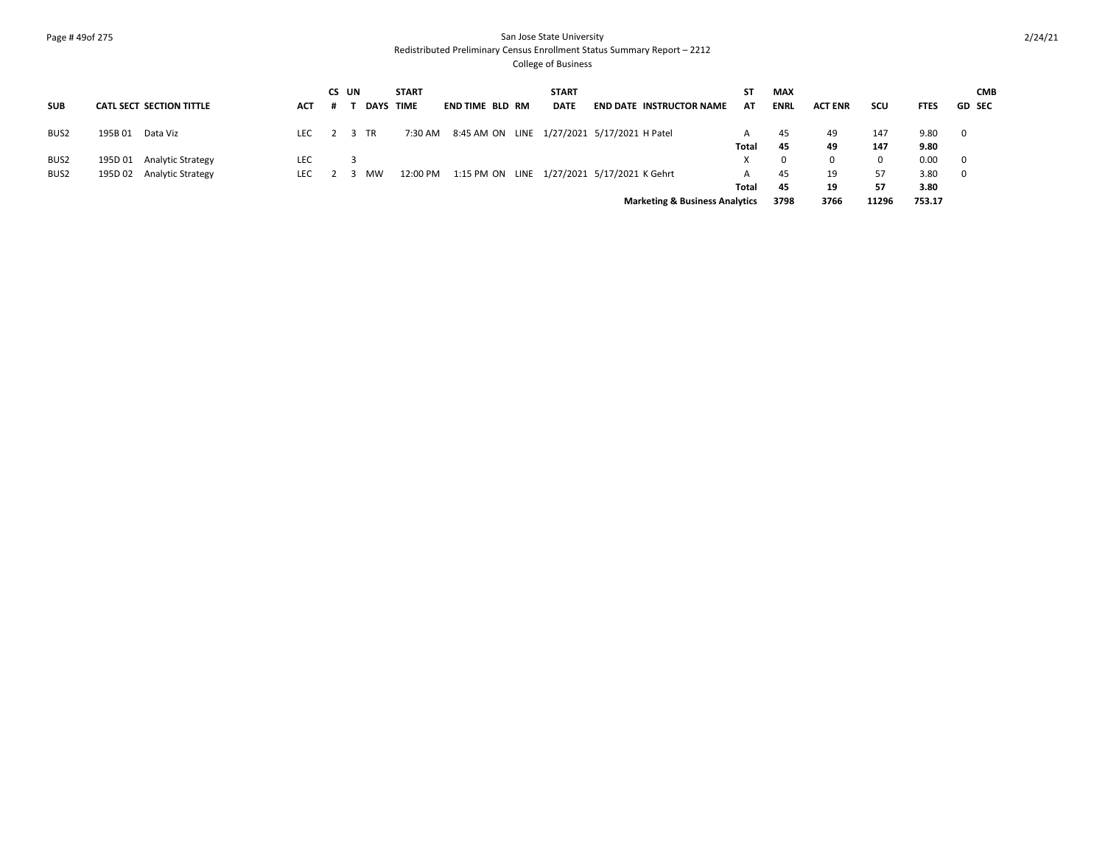## Page # 49of 275 San Jose State University Redistributed Preliminary Census Enrollment Status Summary Report – 2212

|                  |                                     |            | CS UN |             | <b>START</b> |                                                     | <b>START</b> |                                           | SΤ    | <b>MAX</b>  |                |       |             | <b>CMB</b>               |
|------------------|-------------------------------------|------------|-------|-------------|--------------|-----------------------------------------------------|--------------|-------------------------------------------|-------|-------------|----------------|-------|-------------|--------------------------|
| <b>SUB</b>       | <b>CATL SECT SECTION TITTLE</b>     | ACT        |       | <b>DAYS</b> | <b>TIME</b>  | END TIME BLD RM                                     | <b>DATE</b>  | <b>END DATE INSTRUCTOR NAME</b>           | AT    | <b>ENRL</b> | <b>ACT ENR</b> | scu   | <b>FTES</b> | <b>GD SEC</b>            |
| BUS <sub>2</sub> | 195B01<br>Data Viz                  | LEC        |       | TR          |              | 7:30 AM 8:45 AM ON LINE 1/27/2021 5/17/2021 H Patel |              |                                           | A     | 45          | 49             | 147   | 9.80        | $\overline{\phantom{0}}$ |
|                  |                                     |            |       |             |              |                                                     |              |                                           | Total | 45          | 49             | 147   | 9.80        |                          |
| BUS <sub>2</sub> | <b>Analytic Strategy</b><br>195D 01 | <b>LEC</b> |       |             |              |                                                     |              |                                           |       |             | $\Omega$       | 0     | 0.00        | - 0                      |
| BUS <sub>2</sub> | 195D 02 Analytic Strategy           | LEC.       |       | <b>MW</b>   | 12:00 PM     | 1:15 PM ON LINE 1/27/2021 5/17/2021 K Gehrt         |              |                                           | A     | 45          | 19             | 57    | 3.80        | - 0                      |
|                  |                                     |            |       |             |              |                                                     |              |                                           | Total | 45          | 19             | 57    | 3.80        |                          |
|                  |                                     |            |       |             |              |                                                     |              | <b>Marketing &amp; Business Analytics</b> |       | 3798        | 3766           | 11296 | 753.17      |                          |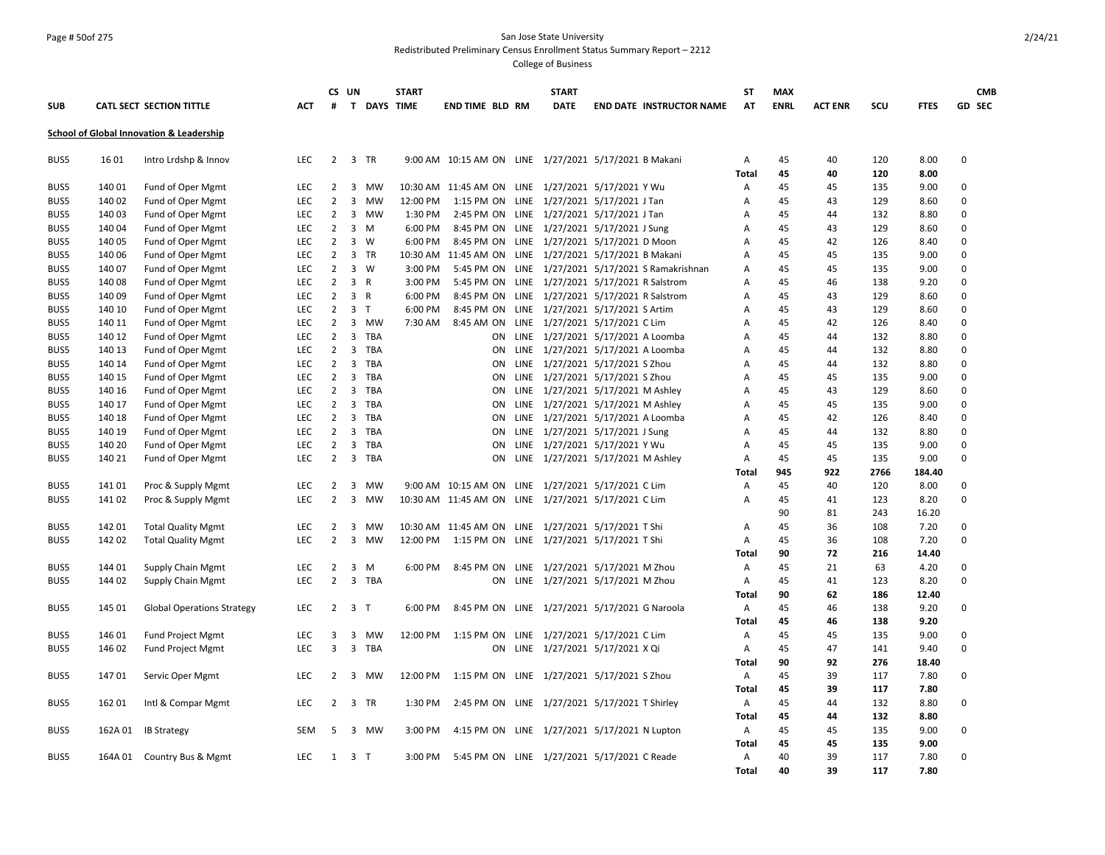### Page # 50of 275 San Jose State University Redistributed Preliminary Census Enrollment Status Summary Report – 2212

|            |         |                                          |            |                | CS UN                   |                    | <b>START</b> |                                                       | <b>START</b>                      |                                                    | <b>ST</b>      | <b>MAX</b>  |                |      |             |             | <b>CMB</b> |
|------------|---------|------------------------------------------|------------|----------------|-------------------------|--------------------|--------------|-------------------------------------------------------|-----------------------------------|----------------------------------------------------|----------------|-------------|----------------|------|-------------|-------------|------------|
| <b>SUB</b> |         | CATL SECT SECTION TITTLE                 | <b>ACT</b> | #              |                         | <b>T DAYS TIME</b> |              | <b>END TIME BLD RM</b>                                | <b>DATE</b>                       | <b>END DATE INSTRUCTOR NAME</b>                    | AT             | <b>ENRL</b> | <b>ACT ENR</b> | SCU  | <b>FTES</b> |             | GD SEC     |
|            |         | School of Global Innovation & Leadership |            |                |                         |                    |              |                                                       |                                   |                                                    |                |             |                |      |             |             |            |
| BUS5       | 16 01   | Intro Lrdshp & Innov                     | <b>LEC</b> | $\overline{2}$ |                         | 3 TR               |              | 9:00 AM 10:15 AM ON LINE 1/27/2021 5/17/2021 B Makani |                                   |                                                    | А              | 45          | 40             | 120  | 8.00        | $\Omega$    |            |
|            |         |                                          |            |                |                         |                    |              |                                                       |                                   |                                                    | <b>Total</b>   | 45          | 40             | 120  | 8.00        |             |            |
| BUS5       | 140 01  | Fund of Oper Mgmt                        | <b>LEC</b> | $\overline{2}$ | $\overline{3}$          | <b>MW</b>          |              | 10:30 AM 11:45 AM ON LINE 1/27/2021 5/17/2021 Y Wu    |                                   |                                                    | Α              | 45          | 45             | 135  | 9.00        | $\Omega$    |            |
| BUS5       | 140 02  | Fund of Oper Mgmt                        | <b>LEC</b> | $\overline{2}$ | 3                       | MW                 | 12:00 PM     | 1:15 PM ON LINE 1/27/2021 5/17/2021 J Tan             |                                   |                                                    | Α              | 45          | 43             | 129  | 8.60        | $\Omega$    |            |
| BUS5       | 140 03  | Fund of Oper Mgmt                        | <b>LEC</b> | 2              |                         | 3 MW               | 1:30 PM      | 2:45 PM ON LINE 1/27/2021 5/17/2021 J Tan             |                                   |                                                    | Α              | 45          | 44             | 132  | 8.80        | $\Omega$    |            |
| BUS5       | 140 04  | Fund of Oper Mgmt                        | <b>LEC</b> | $\overline{2}$ | 3                       | M                  | 6:00 PM      | 8:45 PM ON LINE 1/27/2021 5/17/2021 J Sung            |                                   |                                                    | A              | 45          | 43             | 129  | 8.60        | $\mathbf 0$ |            |
| BUS5       | 140 05  | Fund of Oper Mgmt                        | <b>LEC</b> | 2              | 3                       | W                  | 6:00 PM      | 8:45 PM ON LINE 1/27/2021 5/17/2021 D Moon            |                                   |                                                    | A              | 45          | 42             | 126  | 8.40        | 0           |            |
| BUS5       | 140 06  | Fund of Oper Mgmt                        | <b>LEC</b> | $\overline{2}$ | $\overline{3}$          | TR                 | 10:30 AM     | 11:45 AM ON LINE 1/27/2021 5/17/2021 B Makani         |                                   |                                                    | A              | 45          | 45             | 135  | 9.00        | 0           |            |
| BUS5       | 140 07  | Fund of Oper Mgmt                        | <b>LEC</b> | $\overline{2}$ | 3                       | w                  | 3:00 PM      |                                                       |                                   | 5:45 PM ON LINE 1/27/2021 5/17/2021 S Ramakrishnan | Α              | 45          | 45             | 135  | 9.00        | 0           |            |
| BUS5       | 140 08  | Fund of Oper Mgmt                        | <b>LEC</b> | $\overline{2}$ | 3 R                     |                    | 3:00 PM      | 5:45 PM ON LINE 1/27/2021 5/17/2021 R Salstrom        |                                   |                                                    | A              | 45          | 46             | 138  | 9.20        | 0           |            |
| BUS5       | 140 09  | Fund of Oper Mgmt                        | <b>LEC</b> | $\overline{2}$ | $\overline{3}$          | $\overline{R}$     | 6:00 PM      | 8:45 PM ON LINE 1/27/2021 5/17/2021 R Salstrom        |                                   |                                                    | А              | 45          | 43             | 129  | 8.60        | $\Omega$    |            |
| BUS5       | 140 10  | Fund of Oper Mgmt                        | <b>LEC</b> | $\overline{2}$ | 3 <sub>7</sub>          |                    | 6:00 PM      | 8:45 PM ON LINE 1/27/2021 5/17/2021 S Artim           |                                   |                                                    | А              | 45          | 43             | 129  | 8.60        | $\Omega$    |            |
| BUS5       | 140 11  | Fund of Oper Mgmt                        | <b>LEC</b> | 2              | 3                       | MW                 | 7:30 AM      | 8:45 AM ON                                            | LINE 1/27/2021 5/17/2021 C Lim    |                                                    | А              | 45          | 42             | 126  | 8.40        | $\Omega$    |            |
| BUS5       | 140 12  | Fund of Oper Mgmt                        | <b>LEC</b> | $\overline{2}$ | $\overline{3}$          | TBA                |              | ON                                                    | LINE 1/27/2021 5/17/2021 A Loomba |                                                    | A              | 45          | 44             | 132  | 8.80        | $\Omega$    |            |
| BUS5       | 140 13  | Fund of Oper Mgmt                        | <b>LEC</b> | $\overline{2}$ | 3                       | <b>TBA</b>         |              | ON                                                    | LINE 1/27/2021 5/17/2021 A Loomba |                                                    | A              | 45          | 44             | 132  | 8.80        | $\Omega$    |            |
| BUS5       | 140 14  | Fund of Oper Mgmt                        | <b>LEC</b> | $\overline{2}$ | 3                       | TBA                |              | ON                                                    | LINE 1/27/2021 5/17/2021 S Zhou   |                                                    | А              | 45          | 44             | 132  | 8.80        | $\Omega$    |            |
| BUS5       | 140 15  | Fund of Oper Mgmt                        | <b>LEC</b> | $\overline{2}$ | 3                       | <b>TBA</b>         |              | ON                                                    | LINE 1/27/2021 5/17/2021 S Zhou   |                                                    | A              | 45          | 45             | 135  | 9.00        | $\Omega$    |            |
| BUS5       | 140 16  | Fund of Oper Mgmt                        | LEC        | $\overline{2}$ | $\overline{3}$          | <b>TBA</b>         |              | ΟN                                                    | LINE 1/27/2021 5/17/2021 M Ashley |                                                    | Α              | 45          | 43             | 129  | 8.60        | $\Omega$    |            |
| BUS5       | 140 17  | Fund of Oper Mgmt                        | <b>LEC</b> | $\overline{2}$ | 3                       | TBA                |              | ON                                                    | LINE 1/27/2021 5/17/2021 M Ashley |                                                    | А              | 45          | 45             | 135  | 9.00        | $\Omega$    |            |
| BUS5       | 140 18  | Fund of Oper Mgmt                        | <b>LEC</b> | $\overline{2}$ | 3                       | TBA                |              | ON                                                    | LINE 1/27/2021 5/17/2021 A Loomba |                                                    | А              | 45          | 42             | 126  | 8.40        | 0           |            |
| BUS5       | 140 19  | Fund of Oper Mgmt                        | <b>LEC</b> | $\overline{2}$ | 3                       | TBA                |              | ON                                                    | LINE 1/27/2021 5/17/2021 J Sung   |                                                    | A              | 45          | 44             | 132  | 8.80        | 0           |            |
| BUS5       | 140 20  | Fund of Oper Mgmt                        | <b>LEC</b> | $\overline{2}$ | 3                       | <b>TBA</b>         |              | ON                                                    | LINE 1/27/2021 5/17/2021 Y Wu     |                                                    | A              | 45          | 45             | 135  | 9.00        | 0           |            |
| BUS5       | 140 21  | Fund of Oper Mgmt                        | <b>LEC</b> | $\overline{2}$ | 3                       | TBA                |              | ΟN                                                    | LINE 1/27/2021 5/17/2021 M Ashley |                                                    | $\overline{A}$ | 45          | 45             | 135  | 9.00        | 0           |            |
|            |         |                                          |            |                |                         |                    |              |                                                       |                                   |                                                    | Total          | 945         | 922            | 2766 | 184.40      |             |            |
| BUS5       | 14101   | Proc & Supply Mgmt                       | <b>LEC</b> | 2              | 3                       | MW                 |              | 9:00 AM  10:15 AM ON                                  | LINE 1/27/2021 5/17/2021 C Lim    |                                                    | A              | 45          | 40             | 120  | 8.00        | 0           |            |
| BUS5       | 14102   | Proc & Supply Mgmt                       | <b>LEC</b> | $\overline{2}$ | 3                       | <b>MW</b>          |              | 10:30 AM 11:45 AM ON LINE 1/27/2021 5/17/2021 C Lim   |                                   |                                                    | A              | 45          | 41             | 123  | 8.20        | 0           |            |
|            |         |                                          |            |                |                         |                    |              |                                                       |                                   |                                                    |                | 90          | 81             | 243  | 16.20       |             |            |
| BUS5       | 142 01  | <b>Total Quality Mgmt</b>                | <b>LEC</b> | 2              | 3                       | MW                 |              | 10:30 AM 11:45 AM ON LINE 1/27/2021 5/17/2021 T Shi   |                                   |                                                    | A              | 45          | 36             | 108  | 7.20        | $\Omega$    |            |
| BUS5       | 142 02  | <b>Total Quality Mgmt</b>                | <b>LEC</b> | $\overline{2}$ | $\overline{\mathbf{3}}$ | MW                 | 12:00 PM     | 1:15 PM ON LINE 1/27/2021 5/17/2021 T Shi             |                                   |                                                    | Α              | 45          | 36             | 108  | 7.20        | $\Omega$    |            |
|            |         |                                          |            |                |                         |                    |              |                                                       |                                   |                                                    | <b>Total</b>   | 90          | 72             | 216  | 14.40       |             |            |
| BUS5       | 144 01  | Supply Chain Mgmt                        | <b>LEC</b> | $\overline{2}$ | 3                       | M                  | 6:00 PM      | 8:45 PM ON                                            | LINE 1/27/2021 5/17/2021 M Zhou   |                                                    | Α              | 45          | 21             | 63   | 4.20        | 0           |            |
| BUS5       | 144 02  | Supply Chain Mgmt                        | <b>LEC</b> | $\overline{2}$ | 3                       | TBA                |              | ON                                                    | LINE 1/27/2021 5/17/2021 M Zhou   |                                                    | Α              | 45          | 41             | 123  | 8.20        | 0           |            |
|            |         |                                          |            |                |                         |                    |              |                                                       |                                   |                                                    | Total          | 90          | 62             | 186  | 12.40       |             |            |
| BUS5       | 145 01  | <b>Global Operations Strategy</b>        | LEC        | $\overline{2}$ | 3 <sub>T</sub>          |                    | 6:00 PM      | 8:45 PM ON LINE 1/27/2021 5/17/2021 G Naroola         |                                   |                                                    | Α              | 45          | 46             | 138  | 9.20        | 0           |            |
|            |         |                                          |            |                |                         |                    |              |                                                       |                                   |                                                    | <b>Total</b>   | 45          | 46             | 138  | 9.20        |             |            |
| BUS5       | 146 01  | <b>Fund Project Mgmt</b>                 | <b>LEC</b> | 3              | 3                       | MW                 | 12:00 PM     | 1:15 PM ON LINE 1/27/2021 5/17/2021 C Lim             |                                   |                                                    | Α              | 45          | 45             | 135  | 9.00        | 0           |            |
| BUS5       | 146 02  | Fund Project Mgmt                        | <b>LEC</b> | 3              | 3                       | TBA                |              | ON                                                    | LINE 1/27/2021 5/17/2021 X Qi     |                                                    | A              | 45          | 47             | 141  | 9.40        | 0           |            |
|            |         |                                          |            |                |                         |                    |              |                                                       |                                   |                                                    | <b>Total</b>   | 90          | 92             | 276  | 18.40       |             |            |
| BUS5       | 14701   | Servic Oper Mgmt                         | <b>LEC</b> | 2              | 3                       | MW                 | 12:00 PM     | 1:15 PM ON LINE 1/27/2021 5/17/2021 S Zhou            |                                   |                                                    | Α              | 45          | 39             | 117  | 7.80        | 0           |            |
|            |         |                                          |            |                |                         |                    |              |                                                       |                                   |                                                    | Total          | 45          | 39             | 117  | 7.80        |             |            |
| BUS5       | 162 01  | Intl & Compar Mgmt                       | <b>LEC</b> | $\overline{2}$ | $\overline{\mathbf{3}}$ | TR                 | 1:30 PM      | 2:45 PM ON LINE 1/27/2021 5/17/2021 T Shirley         |                                   |                                                    | A              | 45          | 44             | 132  | 8.80        | 0           |            |
|            |         |                                          |            |                |                         |                    |              |                                                       |                                   |                                                    | <b>Total</b>   | 45          | 44             | 132  | 8.80        |             |            |
| BUS5       | 162A 01 | <b>IB Strategy</b>                       | SEM        | 5              | 3                       | MW                 | 3:00 PM      | 4:15 PM ON LINE 1/27/2021 5/17/2021 N Lupton          |                                   |                                                    | Α              | 45          | 45             | 135  | 9.00        | $\Omega$    |            |
|            |         |                                          |            |                |                         |                    |              |                                                       |                                   |                                                    | <b>Total</b>   | 45          | 45             | 135  | 9.00        |             |            |
| BUS5       |         | 164A 01 Country Bus & Mgmt               | <b>LEC</b> | 1              | 3 <sub>1</sub>          |                    | 3:00 PM      | 5:45 PM ON LINE 1/27/2021 5/17/2021 C Reade           |                                   |                                                    | $\overline{A}$ | 40          | 39             | 117  | 7.80        | $\Omega$    |            |
|            |         |                                          |            |                |                         |                    |              |                                                       |                                   |                                                    | Total          | 40          | 39             | 117  | 7.80        |             |            |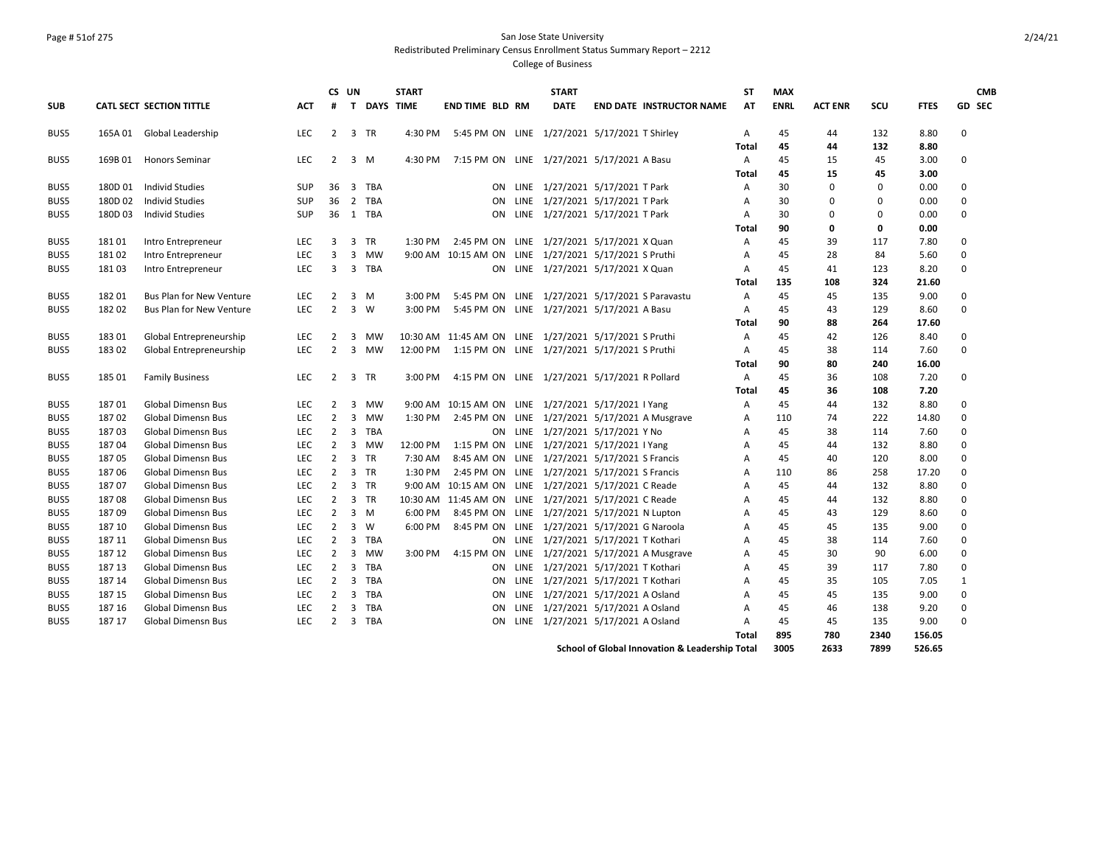# Page # 51of 275 San Jose State University Redistributed Preliminary Census Enrollment Status Summary Report – 2212

|            |         |                                 |            | CS UN          |                |                    | <b>START</b> |                                                        | <b>START</b>                          |                                                | <b>ST</b>      | <b>MAX</b>  |                |             |             | <b>CMB</b>   |
|------------|---------|---------------------------------|------------|----------------|----------------|--------------------|--------------|--------------------------------------------------------|---------------------------------------|------------------------------------------------|----------------|-------------|----------------|-------------|-------------|--------------|
| <b>SUB</b> |         | <b>CATL SECT SECTION TITTLE</b> | <b>ACT</b> | #              |                | <b>T DAYS TIME</b> |              | <b>END TIME BLD RM</b>                                 | <b>DATE</b>                           | <b>END DATE INSTRUCTOR NAME</b>                | AT             | <b>ENRL</b> | <b>ACT ENR</b> | SCU         | <b>FTES</b> | GD SEC       |
| BUS5       |         | 165A 01 Global Leadership       | <b>LEC</b> | $\mathbf{2}$   | 3 TR           |                    | 4:30 PM      | 5:45 PM ON LINE 1/27/2021 5/17/2021 T Shirley          |                                       |                                                | A              | 45          | 44             | 132         | 8.80        | 0            |
|            |         |                                 |            |                |                |                    |              |                                                        |                                       |                                                | Total          | 45          | 44             | 132         | 8.80        |              |
| BUS5       |         | 169B 01 Honors Seminar          | <b>LEC</b> | $\overline{2}$ | 3              | M                  | 4:30 PM      | 7:15 PM ON LINE 1/27/2021 5/17/2021 A Basu             |                                       |                                                | Α              | 45          | 15             | 45          | 3.00        | 0            |
|            |         |                                 |            |                |                |                    |              |                                                        |                                       |                                                | Total          | 45          | 15             | 45          | 3.00        |              |
| BUS5       |         | 180D 01 Individ Studies         | SUP        | 36             |                | 3 TBA              |              |                                                        | ON LINE 1/27/2021 5/17/2021 T Park    |                                                | A              | 30          | $\mathbf 0$    | $\mathbf 0$ | 0.00        | 0            |
| BUS5       | 180D 02 | <b>Individ Studies</b>          | <b>SUP</b> | 36             |                | 2 TBA              |              |                                                        | ON LINE 1/27/2021 5/17/2021 T Park    |                                                | A              | 30          | $\Omega$       | $\mathbf 0$ | 0.00        | $\Omega$     |
| BUS5       | 180D03  | <b>Individ Studies</b>          | <b>SUP</b> |                | 36 1 TBA       |                    |              | ON.                                                    | LINE 1/27/2021 5/17/2021 T Park       |                                                | A              | 30          | $\mathbf 0$    | 0           | 0.00        | 0            |
|            |         |                                 |            |                |                |                    |              |                                                        |                                       |                                                | <b>Total</b>   | 90          | $\mathbf 0$    | $\mathbf 0$ | 0.00        |              |
| BUS5       | 18101   | Intro Entrepreneur              | <b>LEC</b> | 3              | $\overline{3}$ | <b>TR</b>          | $1:30$ PM    | 2:45 PM ON LINE 1/27/2021 5/17/2021 X Quan             |                                       |                                                | A              | 45          | 39             | 117         | 7.80        | 0            |
| BUS5       | 18102   | Intro Entrepreneur              | LEC        | 3              |                | 3 MW               | 9:00 AM      | 10:15 AM ON LINE 1/27/2021 5/17/2021 S Pruthi          |                                       |                                                | Α              | 45          | 28             | 84          | 5.60        | $\mathbf 0$  |
| BUS5       | 181 03  | Intro Entrepreneur              | <b>LEC</b> | 3              |                | 3 TBA              |              |                                                        | ON LINE 1/27/2021 5/17/2021 X Quan    |                                                | Α              | 45          | 41             | 123         | 8.20        | 0            |
|            |         |                                 |            |                |                |                    |              |                                                        |                                       |                                                | <b>Total</b>   | 135         | 108            | 324         | 21.60       |              |
| BUS5       | 18201   | <b>Bus Plan for New Venture</b> | <b>LEC</b> | $\overline{2}$ | 3              | M                  | 3:00 PM      | 5:45 PM ON LINE 1/27/2021 5/17/2021 S Paravastu        |                                       |                                                | A              | 45          | 45             | 135         | 9.00        | 0            |
| BUS5       | 18202   | <b>Bus Plan for New Venture</b> | <b>LEC</b> | $\overline{2}$ | $\overline{3}$ | W                  | 3:00 PM      | 5:45 PM ON LINE 1/27/2021 5/17/2021 A Basu             |                                       |                                                | A              | 45          | 43             | 129         | 8.60        | 0            |
|            |         |                                 |            |                |                |                    |              |                                                        |                                       |                                                | Total          | 90          | 88             | 264         | 17.60       |              |
| BUS5       | 18301   | Global Entrepreneurship         | <b>LEC</b> | 2              | 3              | MW                 |              | 10:30 AM 11:45 AM ON LINE 1/27/2021 5/17/2021 S Pruthi |                                       |                                                | A              | 45          | 42             | 126         | 8.40        | $\mathbf 0$  |
| BUS5       | 18302   | Global Entrepreneurship         | <b>LEC</b> | $\overline{2}$ | 3              | MW                 | 12:00 PM     | 1:15 PM ON LINE 1/27/2021 5/17/2021 S Pruthi           |                                       |                                                | $\mathsf{A}$   | 45          | 38             | 114         | 7.60        | 0            |
|            |         |                                 |            |                |                |                    |              |                                                        |                                       |                                                | <b>Total</b>   | 90          | 80             | 240         | 16.00       |              |
| BUS5       | 185 01  | <b>Family Business</b>          | <b>LEC</b> | $\overline{2}$ | 3 TR           |                    | 3:00 PM      | 4:15 PM ON LINE 1/27/2021 5/17/2021 R Pollard          |                                       |                                                | A              | 45          | 36             | 108         | 7.20        | 0            |
|            |         |                                 |            |                |                |                    |              |                                                        |                                       |                                                | <b>Total</b>   | 45          | 36             | 108         | 7.20        |              |
| BUS5       | 18701   | <b>Global Dimensn Bus</b>       | <b>LEC</b> | $\overline{2}$ | 3              | MW                 |              | 9:00 AM 10:15 AM ON LINE 1/27/2021 5/17/2021 I Yang    |                                       |                                                | A              | 45          | 44             | 132         | 8.80        | 0            |
| BUS5       | 18702   | Global Dimensn Bus              | <b>LEC</b> | 2              | $\overline{3}$ | <b>MW</b>          | 1:30 PM      | 2:45 PM ON LINE 1/27/2021 5/17/2021 A Musgrave         |                                       |                                                | A              | 110         | 74             | 222         | 14.80       | $\Omega$     |
| BUS5       | 18703   | <b>Global Dimensn Bus</b>       | <b>LEC</b> | $\overline{2}$ |                | 3 TBA              |              |                                                        | ON LINE 1/27/2021 5/17/2021 Y No      |                                                | Α              | 45          | 38             | 114         | 7.60        | 0            |
| BUS5       | 18704   | <b>Global Dimensn Bus</b>       | <b>LEC</b> |                | 2 3 MW         |                    | 12:00 PM     | 1:15 PM ON LINE 1/27/2021 5/17/2021 I Yang             |                                       |                                                | A              | 45          | 44             | 132         | 8.80        | $\Omega$     |
| BUS5       | 18705   | <b>Global Dimensn Bus</b>       | <b>LEC</b> | 2              | 3 TR           |                    | 7:30 AM      | 8:45 AM ON LINE 1/27/2021 5/17/2021 S Francis          |                                       |                                                | A              | 45          | 40             | 120         | 8.00        | 0            |
| BUS5       | 18706   | <b>Global Dimensn Bus</b>       | <b>LEC</b> | $\overline{2}$ | 3 TR           |                    | 1:30 PM      | 2:45 PM ON LINE 1/27/2021 5/17/2021 S Francis          |                                       |                                                | A              | 110         | 86             | 258         | 17.20       | 0            |
| BUS5       | 18707   | <b>Global Dimensn Bus</b>       | <b>LEC</b> | 2              | 3 TR           |                    |              | 9:00 AM 10:15 AM ON LINE 1/27/2021 5/17/2021 C Reade   |                                       |                                                | A              | 45          | 44             | 132         | 8.80        | 0            |
| BUS5       | 18708   | <b>Global Dimensn Bus</b>       | <b>LEC</b> | $\overline{2}$ | 3 TR           |                    |              | 10:30 AM 11:45 AM ON LINE 1/27/2021 5/17/2021 C Reade  |                                       |                                                | Α              | 45          | 44             | 132         | 8.80        | 0            |
| BUS5       | 18709   | <b>Global Dimensn Bus</b>       | <b>LEC</b> | $\overline{2}$ | $3 \, M$       |                    | 6:00 PM      | 8:45 PM ON LINE 1/27/2021 5/17/2021 N Lupton           |                                       |                                                | A              | 45          | 43             | 129         | 8.60        | $\Omega$     |
| BUS5       | 187 10  | <b>Global Dimensn Bus</b>       | <b>LEC</b> | $\overline{2}$ | 3              | W                  | 6:00 PM      | 8:45 PM ON LINE 1/27/2021 5/17/2021 G Naroola          |                                       |                                                | A              | 45          | 45             | 135         | 9.00        | 0            |
| BUS5       | 187 11  | Global Dimensn Bus              | <b>LEC</b> | $\overline{2}$ | $\overline{3}$ | <b>TBA</b>         |              | ON                                                     | LINE 1/27/2021 5/17/2021 T Kothari    |                                                | A              | 45          | 38             | 114         | 7.60        | $\mathbf 0$  |
| BUS5       | 187 12  | <b>Global Dimensn Bus</b>       | <b>LEC</b> | $\overline{2}$ | 3              | MW                 | 3:00 PM      | 4:15 PM ON LINE 1/27/2021 5/17/2021 A Musgrave         |                                       |                                                | A              | 45          | 30             | 90          | 6.00        | 0            |
| BUS5       | 187 13  | <b>Global Dimensn Bus</b>       | <b>LEC</b> | $\overline{2}$ |                | 3 TBA              |              |                                                        | ON LINE 1/27/2021 5/17/2021 T Kothari |                                                | Α              | 45          | 39             | 117         | 7.80        | 0            |
| BUS5       | 187 14  | <b>Global Dimensn Bus</b>       | LEC        | $\overline{2}$ | $\overline{3}$ | <b>TBA</b>         |              |                                                        | ON LINE 1/27/2021 5/17/2021 T Kothari |                                                | A              | 45          | 35             | 105         | 7.05        | $\mathbf{1}$ |
| BUS5       | 187 15  | <b>Global Dimensn Bus</b>       | <b>LEC</b> | 2              | 3              | <b>TBA</b>         |              | ON                                                     | LINE 1/27/2021 5/17/2021 A Osland     |                                                | A              | 45          | 45             | 135         | 9.00        | 0            |
| BUS5       | 187 16  | <b>Global Dimensn Bus</b>       | <b>LEC</b> | $\overline{2}$ | $\overline{3}$ | <b>TBA</b>         |              | <b>ON</b>                                              | LINE 1/27/2021 5/17/2021 A Osland     |                                                | A              | 45          | 46             | 138         | 9.20        | 0            |
| BUS5       | 187 17  | <b>Global Dimensn Bus</b>       | <b>LEC</b> | 2              |                | 3 TBA              |              | <b>ON</b>                                              | LINE 1/27/2021 5/17/2021 A Osland     |                                                | $\overline{A}$ | 45          | 45             | 135         | 9.00        | 0            |
|            |         |                                 |            |                |                |                    |              |                                                        |                                       |                                                | Total          | 895         | 780            | 2340        | 156.05      |              |
|            |         |                                 |            |                |                |                    |              |                                                        |                                       | School of Global Innovation & Leadership Total |                | 3005        | 2633           | 7899        | 526.65      |              |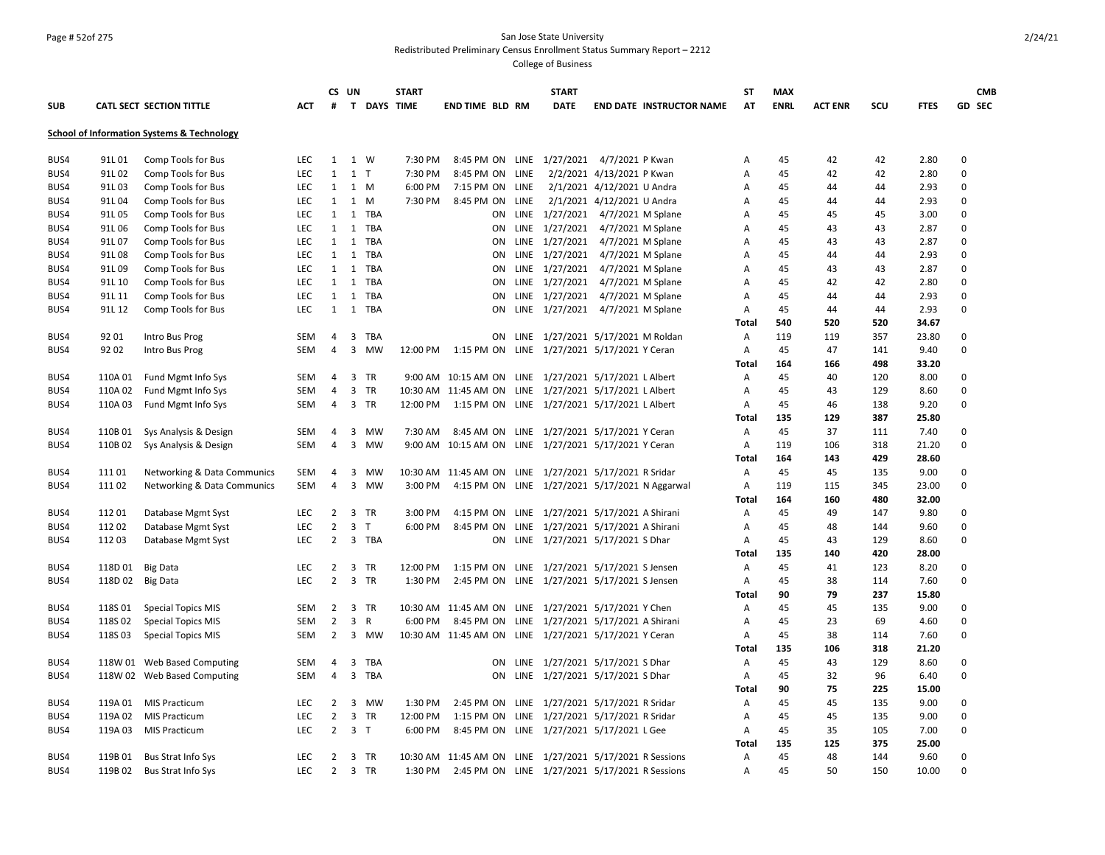### Page # 52of 275 San Jose State University Redistributed Preliminary Census Enrollment Status Summary Report – 2212

|            |         |                                                       |            |                | CS UN                   |                    | <b>START</b> |                                                          | <b>START</b>                         |                            |                                 | ST           | <b>MAX</b>  |                |     |             |             | <b>CMB</b> |
|------------|---------|-------------------------------------------------------|------------|----------------|-------------------------|--------------------|--------------|----------------------------------------------------------|--------------------------------------|----------------------------|---------------------------------|--------------|-------------|----------------|-----|-------------|-------------|------------|
| <b>SUB</b> |         | CATL SECT SECTION TITTLE                              | АСТ        | #              |                         | <b>T DAYS TIME</b> |              | <b>END TIME BLD RM</b>                                   | <b>DATE</b>                          |                            | <b>END DATE INSTRUCTOR NAME</b> | AT           | <b>ENRL</b> | <b>ACT ENR</b> | SCU | <b>FTES</b> |             | GD SEC     |
|            |         | <b>School of Information Systems &amp; Technology</b> |            |                |                         |                    |              |                                                          |                                      |                            |                                 |              |             |                |     |             |             |            |
|            |         |                                                       |            |                |                         |                    |              |                                                          |                                      |                            |                                 |              |             |                |     |             |             |            |
| BUS4       | 91L01   | Comp Tools for Bus                                    | <b>LEC</b> |                | 1 1 W                   |                    | 7:30 PM      | 8:45 PM ON LINE 1/27/2021 4/7/2021 P Kwan                |                                      |                            |                                 | Α            | 45          | 42             | 42  | 2.80        | $\Omega$    |            |
| BUS4       | 91L02   | Comp Tools for Bus                                    | LEC        | $\mathbf{1}$   | $1$ T                   |                    | 7:30 PM      | 8:45 PM ON LINE                                          |                                      | 2/2/2021 4/13/2021 P Kwan  |                                 | Α            | 45          | 42             | 42  | 2.80        | $\mathbf 0$ |            |
| BUS4       | 91L03   | Comp Tools for Bus                                    | <b>LEC</b> | 1              | 1 M                     |                    | 6:00 PM      | 7:15 PM ON LINE                                          |                                      | 2/1/2021 4/12/2021 U Andra |                                 | А            | 45          | 44             | 44  | 2.93        | $\Omega$    |            |
| BUS4       | 91L04   | Comp Tools for Bus                                    | <b>LEC</b> | $\mathbf{1}$   | 1 M                     |                    | 7:30 PM      | 8:45 PM ON LINE                                          |                                      | 2/1/2021 4/12/2021 U Andra |                                 | А            | 45          | 44             | 44  | 2.93        | $\mathbf 0$ |            |
| BUS4       | 91L05   | Comp Tools for Bus                                    | <b>LEC</b> | 1              |                         | 1 TBA              |              |                                                          | ON LINE 1/27/2021 4/7/2021 M Splane  |                            |                                 | А            | 45          | 45             | 45  | 3.00        | $\Omega$    |            |
| BUS4       | 91L06   | Comp Tools for Bus                                    | LEC        | $\mathbf{1}$   |                         | 1 TBA              |              | ON                                                       | LINE 1/27/2021 4/7/2021 M Splane     |                            |                                 | А            | 45          | 43             | 43  | 2.87        | 0           |            |
| BUS4       | 91L07   | Comp Tools for Bus                                    | LEC        | 1              | 1                       | TBA                |              | ON                                                       | LINE 1/27/2021                       | 4/7/2021 M Splane          |                                 | Α            | 45          | 43             | 43  | 2.87        | $\mathbf 0$ |            |
| BUS4       | 91L08   | Comp Tools for Bus                                    | LEC        | $\mathbf{1}$   |                         | 1 TBA              |              | ON                                                       | LINE 1/27/2021 4/7/2021 M Splane     |                            |                                 | A            | 45          | 44             | 44  | 2.93        | 0           |            |
| BUS4       | 91L09   | Comp Tools for Bus                                    | LEC        | 1              | 1                       | <b>TBA</b>         |              | ON                                                       | LINE 1/27/2021 4/7/2021 M Splane     |                            |                                 | A            | 45          | 43             | 43  | 2.87        | 0           |            |
| BUS4       | 91L 10  | Comp Tools for Bus                                    | <b>LEC</b> | 1              |                         | 1 TBA              |              | ON.                                                      | LINE 1/27/2021 4/7/2021 M Splane     |                            |                                 | A            | 45          | 42             | 42  | 2.80        | $\mathbf 0$ |            |
| BUS4       | 91L 11  | Comp Tools for Bus                                    | LEC        | 1              | 1                       | TBA                |              | ON                                                       | LINE 1/27/2021 4/7/2021 M Splane     |                            |                                 | Α            | 45          | 44             | 44  | 2.93        | $\Omega$    |            |
| BUS4       | 91L 12  | Comp Tools for Bus                                    | <b>LEC</b> |                |                         | 1 1 TBA            |              | ON.                                                      | LINE 1/27/2021 4/7/2021 M Splane     |                            |                                 | Α            | 45          | 44             | 44  | 2.93        | $\mathbf 0$ |            |
|            |         |                                                       |            |                |                         |                    |              |                                                          |                                      |                            |                                 | <b>Total</b> | 540         | 520            | 520 | 34.67       |             |            |
| BUS4       | 92 01   | <b>Intro Bus Prog</b>                                 | <b>SEM</b> | $\overline{4}$ | $\overline{3}$          | TBA                |              |                                                          | ON LINE 1/27/2021 5/17/2021 M Roldan |                            |                                 | Α            | 119         | 119            | 357 | 23.80       | $\Omega$    |            |
| BUS4       | 92 02   | Intro Bus Prog                                        | SEM        | $\overline{4}$ | 3                       | MW                 | 12:00 PM     | 1:15 PM ON                                               | LINE 1/27/2021 5/17/2021 Y Ceran     |                            |                                 | Α            | 45          | 47             | 141 | 9.40        | 0           |            |
|            |         |                                                       |            |                |                         |                    |              |                                                          |                                      |                            |                                 | Total        | 164         | 166            | 498 | 33.20       |             |            |
| BUS4       | 110A01  | Fund Mgmt Info Sys                                    | SEM        | $\overline{4}$ |                         | 3 TR               |              | 9:00 AM 10:15 AM ON LINE 1/27/2021 5/17/2021 L Albert    |                                      |                            |                                 | Α            | 45          | 40             | 120 | 8.00        | 0           |            |
| BUS4       | 110A 02 | Fund Mgmt Info Sys                                    | SEM        | 4              | 3                       | TR                 |              | 10:30 AM 11:45 AM ON LINE 1/27/2021 5/17/2021 L Albert   |                                      |                            |                                 | Α            | 45          | 43             | 129 | 8.60        | $\mathbf 0$ |            |
| BUS4       | 110A03  | Fund Mgmt Info Sys                                    | SEM        | $\overline{4}$ |                         | 3 TR               |              | 12:00 PM 1:15 PM ON LINE 1/27/2021 5/17/2021 L Albert    |                                      |                            |                                 | Α            | 45          | 46             | 138 | 9.20        | 0           |            |
|            |         |                                                       |            |                |                         |                    |              |                                                          |                                      |                            |                                 | <b>Total</b> | 135         | 129            | 387 | 25.80       |             |            |
| BUS4       | 110B01  | Sys Analysis & Design                                 | SEM        | 4              | 3                       | MW                 | 7:30 AM      | 8:45 AM ON LINE 1/27/2021 5/17/2021 Y Ceran              |                                      |                            |                                 | Α            | 45          | 37             | 111 | 7.40        | 0           |            |
| BUS4       | 110B02  | Sys Analysis & Design                                 | SEM        | 4              | 3                       | MW                 |              | 9:00 AM 10:15 AM ON LINE 1/27/2021 5/17/2021 Y Ceran     |                                      |                            |                                 | Α            | 119         | 106            | 318 | 21.20       | $\mathbf 0$ |            |
|            |         |                                                       |            |                |                         |                    |              |                                                          |                                      |                            |                                 | <b>Total</b> | 164         | 143            | 429 | 28.60       |             |            |
| BUS4       | 111 01  | <b>Networking &amp; Data Communics</b>                | SEM        | 4              | 3                       | MW                 |              | 10:30 AM 11:45 AM ON LINE 1/27/2021 5/17/2021 R Sridar   |                                      |                            |                                 | Α            | 45          | 45             | 135 | 9.00        | $\mathbf 0$ |            |
| BUS4       | 11102   | Networking & Data Communics                           | <b>SEM</b> | $\overline{4}$ |                         | 3 MW               | 3:00 PM      | 4:15 PM ON LINE 1/27/2021 5/17/2021 N Aggarwal           |                                      |                            |                                 | Α            | 119         | 115            | 345 | 23.00       | $\mathbf 0$ |            |
|            |         |                                                       |            |                |                         |                    |              |                                                          |                                      |                            |                                 | Total        | 164         | 160            | 480 | 32.00       |             |            |
| BUS4       | 11201   | Database Mgmt Syst                                    | <b>LEC</b> | $2^{\circ}$    |                         | 3 TR               | 3:00 PM      | 4:15 PM ON LINE 1/27/2021 5/17/2021 A Shirani            |                                      |                            |                                 | Α            | 45          | 49             | 147 | 9.80        | $\Omega$    |            |
| BUS4       | 11202   | Database Mgmt Syst                                    | LEC        | $\overline{2}$ | $\overline{3}$          | $\top$             | 6:00 PM      | 8:45 PM ON LINE 1/27/2021 5/17/2021 A Shirani            |                                      |                            |                                 | Α            | 45          | 48             | 144 | 9.60        | $\mathbf 0$ |            |
| BUS4       | 11203   | Database Mgmt Syst                                    | LEC        | $2^{\circ}$    |                         | 3 TBA              |              |                                                          | ON LINE 1/27/2021 5/17/2021 S Dhar   |                            |                                 | Α            | 45          | 43             | 129 | 8.60        | $\Omega$    |            |
|            |         |                                                       |            |                |                         |                    |              |                                                          |                                      |                            |                                 | <b>Total</b> | 135         | 140            | 420 | 28.00       |             |            |
| BUS4       | 118D 01 | <b>Big Data</b>                                       | LEC        | $\overline{2}$ | 3                       | TR                 | 12:00 PM     | 1:15 PM ON LINE 1/27/2021 5/17/2021 S Jensen             |                                      |                            |                                 | Α            | 45          | 41             | 123 | 8.20        | 0           |            |
| BUS4       | 118D02  | <b>Big Data</b>                                       | <b>LEC</b> | $\overline{2}$ |                         | 3 TR               | 1:30 PM      | 2:45 PM ON LINE 1/27/2021 5/17/2021 S Jensen             |                                      |                            |                                 | Α            | 45          | 38             | 114 | 7.60        | 0           |            |
|            |         |                                                       |            |                |                         |                    |              |                                                          |                                      |                            |                                 | <b>Total</b> | 90          | 79             | 237 | 15.80       |             |            |
| BUS4       | 118S01  | <b>Special Topics MIS</b>                             | SEM        | $\overline{2}$ | 3                       | TR                 |              | 10:30 AM 11:45 AM ON LINE 1/27/2021 5/17/2021 Y Chen     |                                      |                            |                                 | Α            | 45          | 45             | 135 | 9.00        | 0           |            |
| BUS4       | 118S 02 | <b>Special Topics MIS</b>                             | <b>SEM</b> | $\overline{2}$ | 3                       | $\mathsf{R}$       | 6:00 PM      | 8:45 PM ON LINE 1/27/2021 5/17/2021 A Shirani            |                                      |                            |                                 | А            | 45          | 23             | 69  | 4.60        | $\Omega$    |            |
| BUS4       | 118S03  | <b>Special Topics MIS</b>                             | SEM        | $\overline{2}$ |                         | 3 MW               |              | 10:30 AM 11:45 AM ON LINE 1/27/2021 5/17/2021 Y Ceran    |                                      |                            |                                 | Α            | 45          | 38             | 114 | 7.60        | 0           |            |
|            |         |                                                       |            |                |                         |                    |              |                                                          |                                      |                            |                                 | Total        | 135         | 106            | 318 | 21.20       |             |            |
| BUS4       |         | 118W 01 Web Based Computing                           | SEM        | $\overline{4}$ |                         | 3 TBA              |              | ON                                                       | LINE 1/27/2021 5/17/2021 S Dhar      |                            |                                 | Α            | 45          | 43             | 129 | 8.60        | 0           |            |
| BUS4       |         | 118W 02 Web Based Computing                           | SEM        | $\overline{4}$ | $\overline{\mathbf{3}}$ | TBA                |              | ON                                                       | LINE 1/27/2021 5/17/2021 S Dhar      |                            |                                 | Α            | 45          | 32             | 96  | 6.40        | $\mathbf 0$ |            |
|            |         |                                                       |            |                |                         |                    |              |                                                          |                                      |                            |                                 | <b>Total</b> | 90          | 75             | 225 | 15.00       |             |            |
| BUS4       | 119A 01 | <b>MIS Practicum</b>                                  | LEC        | 2              | $\overline{\mathbf{3}}$ | <b>MW</b>          | 1:30 PM      | 2:45 PM ON LINE 1/27/2021 5/17/2021 R Sridar             |                                      |                            |                                 | Α            | 45          | 45             | 135 | 9.00        | 0           |            |
| BUS4       | 119A 02 | <b>MIS Practicum</b>                                  | LEC        | $\overline{2}$ |                         | 3 TR               | 12:00 PM     | 1:15 PM ON LINE 1/27/2021 5/17/2021 R Sridar             |                                      |                            |                                 | Α            | 45          | 45             | 135 | 9.00        | $\mathbf 0$ |            |
| BUS4       | 119A03  | MIS Practicum                                         | LEC        | $\overline{2}$ | 3 <sub>T</sub>          |                    | 6:00 PM      | 8:45 PM ON LINE 1/27/2021 5/17/2021 L Gee                |                                      |                            |                                 | Α            | 45          | 35             | 105 | 7.00        | $\mathbf 0$ |            |
|            |         |                                                       |            |                |                         |                    |              |                                                          |                                      |                            |                                 | Total        | 135         | 125            | 375 | 25.00       |             |            |
| BUS4       | 119B01  | Bus Strat Info Sys                                    | LEC        | $\overline{2}$ |                         | 3 TR               |              | 10:30 AM 11:45 AM ON LINE 1/27/2021 5/17/2021 R Sessions |                                      |                            |                                 | Α            | 45          | 48             | 144 | 9.60        | $\mathbf 0$ |            |
| BUS4       | 119B02  | <b>Bus Strat Info Sys</b>                             | <b>LEC</b> | $2^{\circ}$    |                         | 3 TR               | 1:30 PM      | 2:45 PM ON LINE 1/27/2021 5/17/2021 R Sessions           |                                      |                            |                                 | A            | 45          | 50             | 150 | 10.00       | $\Omega$    |            |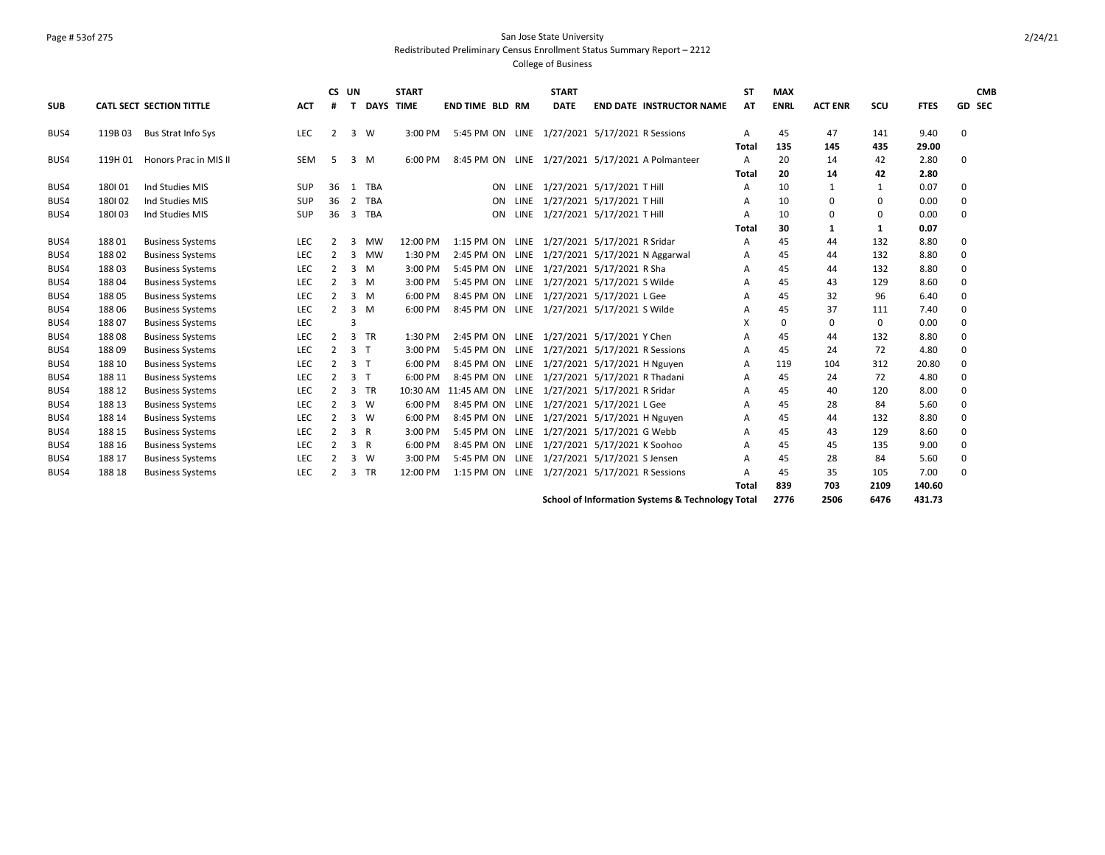## Page # 53of 275 San Jose State University Redistributed Preliminary Census Enrollment Status Summary Report – 2212

|            |         |                                 |            | CS UN          |                |             | <b>START</b> |                                                        | <b>START</b>                    |                                                  | <b>ST</b>    | <b>MAX</b>  |                |              |             |          | <b>CMB</b>    |
|------------|---------|---------------------------------|------------|----------------|----------------|-------------|--------------|--------------------------------------------------------|---------------------------------|--------------------------------------------------|--------------|-------------|----------------|--------------|-------------|----------|---------------|
| <b>SUB</b> |         | <b>CATL SECT SECTION TITTLE</b> | <b>ACT</b> | #              | т              | <b>DAYS</b> | <b>TIME</b>  | <b>END TIME BLD RM</b>                                 | <b>DATE</b>                     | <b>END DATE INSTRUCTOR NAME</b>                  | AT           | <b>ENRL</b> | <b>ACT ENR</b> | scu          | <b>FTES</b> |          | <b>GD SEC</b> |
| BUS4       | 119B03  | Bus Strat Info Sys              | <b>LEC</b> | 2              | 3              | W           | 3:00 PM      | 5:45 PM ON LINE 1/27/2021 5/17/2021 R Sessions         |                                 |                                                  | A            | 45          | 47             | 141          | 9.40        | 0        |               |
|            |         |                                 |            |                |                |             |              |                                                        |                                 |                                                  | <b>Total</b> | 135         | 145            | 435          | 29.00       |          |               |
| BUS4       | 119H 01 | Honors Prac in MIS II           | <b>SEM</b> | -5             | 3              | M           | 6:00 PM      |                                                        |                                 | 8:45 PM ON LINE 1/27/2021 5/17/2021 A Polmanteer | A            | 20          | 14             | 42           | 2.80        | 0        |               |
|            |         |                                 |            |                |                |             |              |                                                        |                                 |                                                  | <b>Total</b> | 20          | 14             | 42           | 2.80        |          |               |
| BUS4       | 180101  | Ind Studies MIS                 | <b>SUP</b> | 36             |                | 1 TBA       |              | <b>ON</b>                                              | LINE 1/27/2021 5/17/2021 T Hill |                                                  | A            | 10          | 1              | $\mathbf{1}$ | 0.07        | $\Omega$ |               |
| BUS4       | 180102  | Ind Studies MIS                 | <b>SUP</b> | 36             | $\overline{2}$ | <b>TBA</b>  |              | ON                                                     | LINE 1/27/2021 5/17/2021 T Hill |                                                  | A            | 10          | $\Omega$       | $\Omega$     | 0.00        | 0        |               |
| BUS4       | 180103  | Ind Studies MIS                 | <b>SUP</b> | 36             | $\overline{3}$ | <b>TBA</b>  |              | ON                                                     | LINE 1/27/2021 5/17/2021 T Hill |                                                  | A            | 10          | $\mathbf 0$    | $\Omega$     | 0.00        | $\Omega$ |               |
|            |         |                                 |            |                |                |             |              |                                                        |                                 |                                                  | <b>Total</b> | 30          | 1              | 1            | 0.07        |          |               |
| BUS4       | 18801   | <b>Business Systems</b>         | LEC        |                | 3              | <b>MW</b>   | 12:00 PM     | 1:15 PM ON LINE 1/27/2021 5/17/2021 R Sridar           |                                 |                                                  | A            | 45          | 44             | 132          | 8.80        | 0        |               |
| BUS4       | 18802   | <b>Business Systems</b>         | <b>LEC</b> | $\overline{2}$ | 3              | <b>MW</b>   | 1:30 PM      | 2:45 PM ON LINE 1/27/2021 5/17/2021 N Aggarwal         |                                 |                                                  | A            | 45          | 44             | 132          | 8.80        | $\Omega$ |               |
| BUS4       | 18803   | <b>Business Systems</b>         | <b>LEC</b> | 2              | $\overline{3}$ | M           | 3:00 PM      | 5:45 PM ON LINE 1/27/2021 5/17/2021 R Sha              |                                 |                                                  | A            | 45          | 44             | 132          | 8.80        | 0        |               |
| BUS4       | 18804   | <b>Business Systems</b>         | <b>LEC</b> | 2              |                | $3 \, M$    | 3:00 PM      | 5:45 PM ON LINE 1/27/2021 5/17/2021 S Wilde            |                                 |                                                  | A            | 45          | 43             | 129          | 8.60        | $\Omega$ |               |
| BUS4       | 18805   | <b>Business Systems</b>         | <b>LEC</b> | 2              | 3              | M           | 6:00 PM      | 8:45 PM ON LINE 1/27/2021 5/17/2021 L Gee              |                                 |                                                  | А            | 45          | 32             | 96           | 6.40        | $\Omega$ |               |
| BUS4       | 18806   | <b>Business Systems</b>         | <b>LEC</b> | 2              | $\overline{3}$ | M           | 6:00 PM      | 8:45 PM ON LINE 1/27/2021 5/17/2021 S Wilde            |                                 |                                                  | A            | 45          | 37             | 111          | 7.40        | 0        |               |
| BUS4       | 18807   | <b>Business Systems</b>         | <b>LEC</b> |                | 3              |             |              |                                                        |                                 |                                                  | X            | 0           | $\mathbf 0$    | $\mathbf 0$  | 0.00        | $\Omega$ |               |
| BUS4       | 18808   | <b>Business Systems</b>         | <b>LEC</b> | 2              | 3              | <b>TR</b>   | 1:30 PM      | 2:45 PM ON LINE 1/27/2021 5/17/2021 Y Chen             |                                 |                                                  | A            | 45          | 44             | 132          | 8.80        | $\Omega$ |               |
| BUS4       | 188 09  | <b>Business Systems</b>         | <b>LEC</b> | $\overline{2}$ | 3 <sub>T</sub> |             | 3:00 PM      | 5:45 PM ON LINE 1/27/2021 5/17/2021 R Sessions         |                                 |                                                  | A            | 45          | 24             | 72           | 4.80        | $\Omega$ |               |
| BUS4       | 188 10  | <b>Business Systems</b>         | <b>LEC</b> | 2              | 3              | $\top$      | 6:00 PM      | 8:45 PM ON LINE 1/27/2021 5/17/2021 H Nguyen           |                                 |                                                  | A            | 119         | 104            | 312          | 20.80       | 0        |               |
| BUS4       | 188 11  | <b>Business Systems</b>         | <b>LEC</b> | $\overline{2}$ | 3              | $\top$      | 6:00 PM      | 8:45 PM ON LINE 1/27/2021 5/17/2021 R Thadani          |                                 |                                                  | A            | 45          | 24             | 72           | 4.80        | $\Omega$ |               |
| BUS4       | 188 12  | <b>Business Systems</b>         | <b>LEC</b> | 2              | 3              | TR          |              | 10:30 AM 11:45 AM ON LINE 1/27/2021 5/17/2021 R Sridar |                                 |                                                  | A            | 45          | 40             | 120          | 8.00        | $\Omega$ |               |
| BUS4       | 188 13  | <b>Business Systems</b>         | <b>LEC</b> | $\overline{2}$ | 3              | W           | 6:00 PM      | 8:45 PM ON LINE 1/27/2021 5/17/2021 L Gee              |                                 |                                                  | A            | 45          | 28             | 84           | 5.60        | 0        |               |
| BUS4       | 188 14  | <b>Business Systems</b>         | LEC        | $\overline{2}$ | 3              | <b>W</b>    | 6:00 PM      | 8:45 PM ON LINE 1/27/2021 5/17/2021 H Nguyen           |                                 |                                                  | A            | 45          | 44             | 132          | 8.80        | $\Omega$ |               |
| BUS4       | 188 15  | <b>Business Systems</b>         | LEC        | 2              | 3              | R           | 3:00 PM      | 5:45 PM ON LINE 1/27/2021 5/17/2021 G Webb             |                                 |                                                  | A            | 45          | 43             | 129          | 8.60        | 0        |               |
| BUS4       | 188 16  | <b>Business Systems</b>         | <b>LEC</b> | $\overline{2}$ | 3              | R           | 6:00 PM      | 8:45 PM ON LINE 1/27/2021 5/17/2021 K Soohoo           |                                 |                                                  | A            | 45          | 45             | 135          | 9.00        | 0        |               |
| BUS4       | 188 17  | <b>Business Systems</b>         | LEC        |                | 3              | <b>W</b>    | 3:00 PM      | 5:45 PM ON LINE 1/27/2021 5/17/2021 S Jensen           |                                 |                                                  | А            | 45          | 28             | 84           | 5.60        | 0        |               |
| BUS4       | 188 18  | <b>Business Systems</b>         | <b>LEC</b> | $\mathcal{P}$  | 3              | TR          | 12:00 PM     | 1:15 PM ON LINE 1/27/2021 5/17/2021 R Sessions         |                                 |                                                  | A            | 45          | 35             | 105          | 7.00        | 0        |               |
|            |         |                                 |            |                |                |             |              |                                                        |                                 |                                                  | Total        | 839         | 703            | 2109         | 140.60      |          |               |
|            |         |                                 |            |                |                |             |              |                                                        |                                 | School of Information Systems & Technology Total |              | 2776        | 2506           | 6476         | 431.73      |          |               |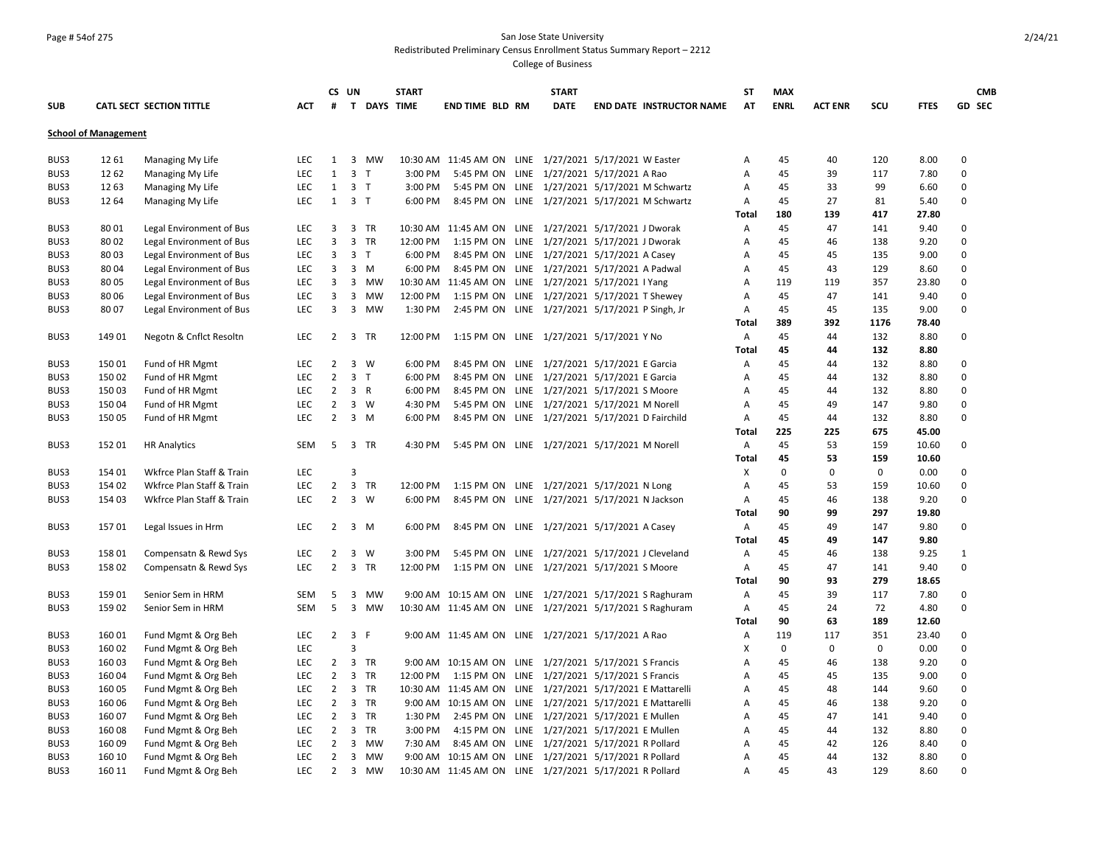### Page # 54of 275 San Jose State University Redistributed Preliminary Census Enrollment Status Summary Report – 2212

|              |                             |                                            |            |                                  | CS UN                        | <b>START</b>       |                                                                                                         | <b>START</b> |                                 | SΤ           | <b>MAX</b>  |                |             |              | <b>CMB</b>    |
|--------------|-----------------------------|--------------------------------------------|------------|----------------------------------|------------------------------|--------------------|---------------------------------------------------------------------------------------------------------|--------------|---------------------------------|--------------|-------------|----------------|-------------|--------------|---------------|
| <b>SUB</b>   |                             | <b>CATL SECT SECTION TITTLE</b>            | АСТ        | #                                |                              | <b>T DAYS TIME</b> | <b>END TIME BLD RM</b>                                                                                  | <b>DATE</b>  | <b>END DATE INSTRUCTOR NAME</b> | AT           | <b>ENRL</b> | <b>ACT ENR</b> | scu         | <b>FTES</b>  | <b>GD SEC</b> |
|              | <b>School of Management</b> |                                            |            |                                  |                              |                    |                                                                                                         |              |                                 |              |             |                |             |              |               |
| BUS3         | 12 61                       | Managing My Life                           | <b>LEC</b> | 1                                | 3 MW                         |                    | 10:30 AM 11:45 AM ON LINE 1/27/2021 5/17/2021 W Easter                                                  |              |                                 | А            | 45          | 40             | 120         | 8.00         | 0             |
| BUS3         | 1262                        | Managing My Life                           | <b>LEC</b> | $\mathbf{1}$                     | $\overline{3}$<br>$\top$     | 3:00 PM            | 5:45 PM ON LINE 1/27/2021 5/17/2021 A Rao                                                               |              |                                 | A            | 45          | 39             | 117         | 7.80         | 0             |
| BUS3         | 1263                        | Managing My Life                           | <b>LEC</b> | 1                                | 3 <sub>1</sub>               | 3:00 PM            | 5:45 PM ON LINE 1/27/2021 5/17/2021 M Schwartz                                                          |              |                                 | Α            | 45          | 33             | 99          | 6.60         | 0             |
| BUS3         | 12 64                       | Managing My Life                           | <b>LEC</b> | 1                                | 3 <sub>1</sub>               | 6:00 PM            | 8:45 PM ON LINE 1/27/2021 5/17/2021 M Schwartz                                                          |              |                                 | A            | 45          | 27             | 81          | 5.40         | 0             |
|              |                             |                                            |            |                                  |                              |                    |                                                                                                         |              |                                 | Total        | 180         | 139            | 417         | 27.80        |               |
| BUS3         | 80 01                       | Legal Environment of Bus                   | LEC        | 3                                | 3 TR                         |                    | 10:30 AM 11:45 AM ON LINE 1/27/2021 5/17/2021 J Dworak                                                  |              |                                 | Α            | 45          | 47             | 141         | 9.40         | 0             |
| BUS3         | 8002                        | Legal Environment of Bus                   | LEC        | $\overline{3}$                   | 3 TR                         | 12:00 PM           | 1:15 PM ON LINE 1/27/2021 5/17/2021 J Dworak                                                            |              |                                 | А            | 45          | 46             | 138         | 9.20         | 0             |
| BUS3         | 8003                        | Legal Environment of Bus                   | <b>LEC</b> | $\mathbf{3}$                     | 3 <sub>1</sub>               | 6:00 PM            | 8:45 PM ON LINE 1/27/2021 5/17/2021 A Casey                                                             |              |                                 | Α            | 45          | 45             | 135         | 9.00         | 0             |
| BUS3         | 8004                        | Legal Environment of Bus                   | <b>LEC</b> | 3                                | $3 \, M$                     | 6:00 PM            | 8:45 PM ON LINE 1/27/2021 5/17/2021 A Padwal                                                            |              |                                 | A            | 45          | 43             | 129         | 8.60         | 0             |
| BUS3         | 8005                        | Legal Environment of Bus                   | <b>LEC</b> | 3                                | 3 MW                         |                    | 10:30 AM 11:45 AM ON LINE 1/27/2021 5/17/2021 I Yang                                                    |              |                                 | Α            | 119         | 119            | 357         | 23.80        | 0             |
| BUS3         | 8006                        | Legal Environment of Bus                   | <b>LEC</b> | 3                                | 3 MW                         | 12:00 PM           | 1:15 PM ON LINE 1/27/2021 5/17/2021 T Shewey                                                            |              |                                 | Α            | 45          | 47             | 141         | 9.40         | 0             |
| BUS3         | 8007                        | Legal Environment of Bus                   | <b>LEC</b> | $\overline{3}$                   | 3 MW                         | 1:30 PM            | 2:45 PM ON LINE 1/27/2021 5/17/2021 P Singh, Jr                                                         |              |                                 | Α            | 45          | 45             | 135         | 9.00         | 0             |
|              |                             |                                            |            |                                  |                              |                    |                                                                                                         |              |                                 | Total        | 389         | 392            | 1176        | 78.40        |               |
| BUS3         | 14901                       | Negotn & Cnflct Resoltn                    | <b>LEC</b> |                                  | 2 3 TR                       | 12:00 PM           | 1:15 PM ON LINE 1/27/2021 5/17/2021 Y No                                                                |              |                                 | Α            | 45          | 44             | 132         | 8.80         | 0             |
|              |                             |                                            |            |                                  |                              |                    |                                                                                                         |              |                                 | Total        | 45          | 44             | 132         | 8.80         |               |
| BUS3         | 150 01                      | Fund of HR Mgmt                            | LEC        | $\overline{2}$                   | 3 W                          | 6:00 PM            | 8:45 PM ON LINE 1/27/2021 5/17/2021 E Garcia                                                            |              |                                 | Α            | 45          | 44             | 132         | 8.80         | 0             |
| BUS3         | 150 02                      | Fund of HR Mgmt                            | LEC        | $\overline{2}$                   | 3 <sub>1</sub>               | 6:00 PM            | 8:45 PM ON LINE 1/27/2021 5/17/2021 E Garcia                                                            |              |                                 | А            | 45          | 44             | 132         | 8.80         | 0             |
| BUS3         | 15003                       | Fund of HR Mgmt                            | LEC        | $\overline{2}$                   | 3 R                          | 6:00 PM            | 8:45 PM ON LINE 1/27/2021 5/17/2021 S Moore                                                             |              |                                 | Α            | 45          | 44             | 132         | 8.80         | 0             |
| BUS3         | 15004                       | Fund of HR Mgmt                            | LEC        | 2                                | 3 W                          | 4:30 PM            | 5:45 PM ON LINE 1/27/2021 5/17/2021 M Norell                                                            |              |                                 | Α            | 45          | 49             | 147         | 9.80         | 0             |
| BUS3         | 150 05                      | Fund of HR Mgmt                            | LEC        | $\overline{2}$                   | $3 \, M$                     | 6:00 PM            | 8:45 PM ON LINE 1/27/2021 5/17/2021 D Fairchild                                                         |              |                                 | Α            | 45          | 44             | 132         | 8.80         | 0             |
|              |                             |                                            |            |                                  |                              |                    |                                                                                                         |              |                                 | <b>Total</b> | 225         | 225            | 675         | 45.00        |               |
| BUS3         | 15201                       | <b>HR Analytics</b>                        | SEM        | 5                                | 3 TR                         | 4:30 PM            | 5:45 PM ON LINE 1/27/2021 5/17/2021 M Norell                                                            |              |                                 | Α            | 45          | 53             | 159         | 10.60        | 0             |
|              |                             |                                            |            |                                  |                              |                    |                                                                                                         |              |                                 | <b>Total</b> | 45          | 53             | 159         | 10.60        |               |
| BUS3         | 154 01                      | Wkfrce Plan Staff & Train                  | LEC        |                                  | 3                            |                    |                                                                                                         |              |                                 | X            | $\mathsf 0$ | $\mathbf 0$    | $\mathbf 0$ | 0.00         | 0             |
| BUS3         | 154 02                      | Wkfrce Plan Staff & Train                  | LEC        | $\overline{2}$                   | 3 TR                         | 12:00 PM           | 1:15 PM ON LINE 1/27/2021 5/17/2021 N Long                                                              |              |                                 | Α            | 45          | 53             | 159         | 10.60        | 0             |
| BUS3         | 154 03                      | Wkfrce Plan Staff & Train                  | LEC        | $\overline{2}$                   | 3 W                          | 6:00 PM            | 8:45 PM ON LINE 1/27/2021 5/17/2021 N Jackson                                                           |              |                                 | Α            | 45          | 46             | 138         | 9.20         | 0             |
|              |                             |                                            |            |                                  |                              |                    |                                                                                                         |              |                                 | <b>Total</b> | 90          | 99             | 297         | 19.80        |               |
| BUS3         | 15701                       | Legal Issues in Hrm                        | LEC        | 2                                | 3<br>M                       | 6:00 PM            | 8:45 PM ON LINE 1/27/2021 5/17/2021 A Casey                                                             |              |                                 | A            | 45          | 49             | 147         | 9.80         | 0             |
|              |                             |                                            |            |                                  |                              |                    |                                                                                                         |              |                                 | Total        | 45          | 49             | 147         | 9.80         |               |
| BUS3         | 15801                       | Compensatn & Rewd Sys                      | LEC        | 2                                | 3<br><b>W</b>                | 3:00 PM            | 5:45 PM ON LINE 1/27/2021 5/17/2021 J Cleveland                                                         |              |                                 | Α            | 45          | 46             | 138         | 9.25         | $\mathbf{1}$  |
| BUS3         | 15802                       | Compensatn & Rewd Sys                      | LEC        | $\overline{2}$                   | 3 TR                         | 12:00 PM           | 1:15 PM ON LINE 1/27/2021 5/17/2021 S Moore                                                             |              |                                 | Α            | 45          | 47             | 141         | 9.40         | 0             |
|              |                             |                                            |            |                                  |                              |                    |                                                                                                         |              |                                 | Total        | 90          | 93             | 279         | 18.65        |               |
| BUS3         | 159 01                      | Senior Sem in HRM                          | SEM        | 5                                | 3<br>MW                      |                    | 9:00 AM 10:15 AM ON LINE 1/27/2021 5/17/2021 S Raghuram                                                 |              |                                 | Α            | 45          | 39             | 117         | 7.80         | 0             |
| BUS3         | 159 02                      | Senior Sem in HRM                          | SEM        | 5                                | 3 MW                         |                    | 10:30 AM 11:45 AM ON LINE 1/27/2021 5/17/2021 S Raghuram                                                |              |                                 | A            | 45          | 24             | 72          | 4.80         | 0             |
|              |                             |                                            |            |                                  |                              |                    |                                                                                                         |              |                                 | <b>Total</b> | 90          | 63             | 189         | 12.60        |               |
| BUS3         | 160 01                      | Fund Mgmt & Org Beh                        | <b>LEC</b> | $2^{\circ}$                      | 3 F                          |                    | 9:00 AM 11:45 AM ON LINE 1/27/2021 5/17/2021 A Rao                                                      |              |                                 | Α            | 119         | 117            | 351         | 23.40        | 0             |
| BUS3         | 160 02                      | Fund Mgmt & Org Beh                        | <b>LEC</b> |                                  | 3                            |                    |                                                                                                         |              |                                 | X            | $\mathbf 0$ | $\mathbf{0}$   | $\mathbf 0$ | 0.00         | 0             |
| BUS3         | 160 03                      | Fund Mgmt & Org Beh                        | LEC        | $\overline{2}$                   | 3 TR                         |                    | 9:00 AM 10:15 AM ON LINE 1/27/2021 5/17/2021 S Francis                                                  |              |                                 | А            | 45          | 46             | 138         | 9.20         | 0             |
| BUS3         | 160 04                      | Fund Mgmt & Org Beh                        | LEC        | $\overline{2}$                   | 3 TR                         | 12:00 PM           | 1:15 PM ON LINE 1/27/2021 5/17/2021 S Francis                                                           |              |                                 | Α            | 45          | 45             | 135         | 9.00         | 0             |
| BUS3         | 160 05                      | Fund Mgmt & Org Beh                        | LEC        | $\overline{2}$                   | 3 TR                         |                    | 10:30 AM 11:45 AM ON LINE 1/27/2021 5/17/2021 E Mattarelli                                              |              |                                 | А            | 45          | 48             | 144         | 9.60         | 0<br>$\Omega$ |
| BUS3         | 160 06                      | Fund Mgmt & Org Beh                        | <b>LEC</b> | $\overline{2}$                   | 3 TR                         |                    | 9:00 AM 10:15 AM ON LINE 1/27/2021 5/17/2021 E Mattarelli                                               |              |                                 | A            | 45          | 46             | 138         | 9.20         | $\Omega$      |
| BUS3         | 160 07                      | Fund Mgmt & Org Beh                        | <b>LEC</b> | $\overline{2}$                   | 3 TR                         | 1:30 PM            | 2:45 PM ON LINE 1/27/2021 5/17/2021 E Mullen                                                            |              |                                 | A            | 45          | 47             | 141         | 9.40         | 0             |
| BUS3<br>BUS3 | 16008<br>160 09             | Fund Mgmt & Org Beh                        | LEC<br>LEC | $\overline{2}$<br>$\overline{2}$ | $\overline{3}$<br>TR<br>3 MW | 3:00 PM            | 4:15 PM ON LINE 1/27/2021 5/17/2021 E Mullen                                                            |              |                                 | А            | 45<br>45    | 44<br>42       | 132<br>126  | 8.80<br>8.40 | 0             |
| BUS3         | 160 10                      | Fund Mgmt & Org Beh<br>Fund Mgmt & Org Beh | LEC        | $\overline{2}$                   | 3 MW                         | 7:30 AM            | 8:45 AM ON LINE 1/27/2021 5/17/2021 R Pollard<br>9:00 AM 10:15 AM ON LINE 1/27/2021 5/17/2021 R Pollard |              |                                 | А<br>Α       | 45          | 44             | 132         | 8.80         | 0             |
| BUS3         | 160 11                      |                                            | <b>LEC</b> | $\overline{2}$                   | 3 MW                         |                    | 10:30 AM 11:45 AM ON LINE 1/27/2021 5/17/2021 R Pollard                                                 |              |                                 | A            | 45          | 43             | 129         | 8.60         | $\Omega$      |
|              |                             | Fund Mgmt & Org Beh                        |            |                                  |                              |                    |                                                                                                         |              |                                 |              |             |                |             |              |               |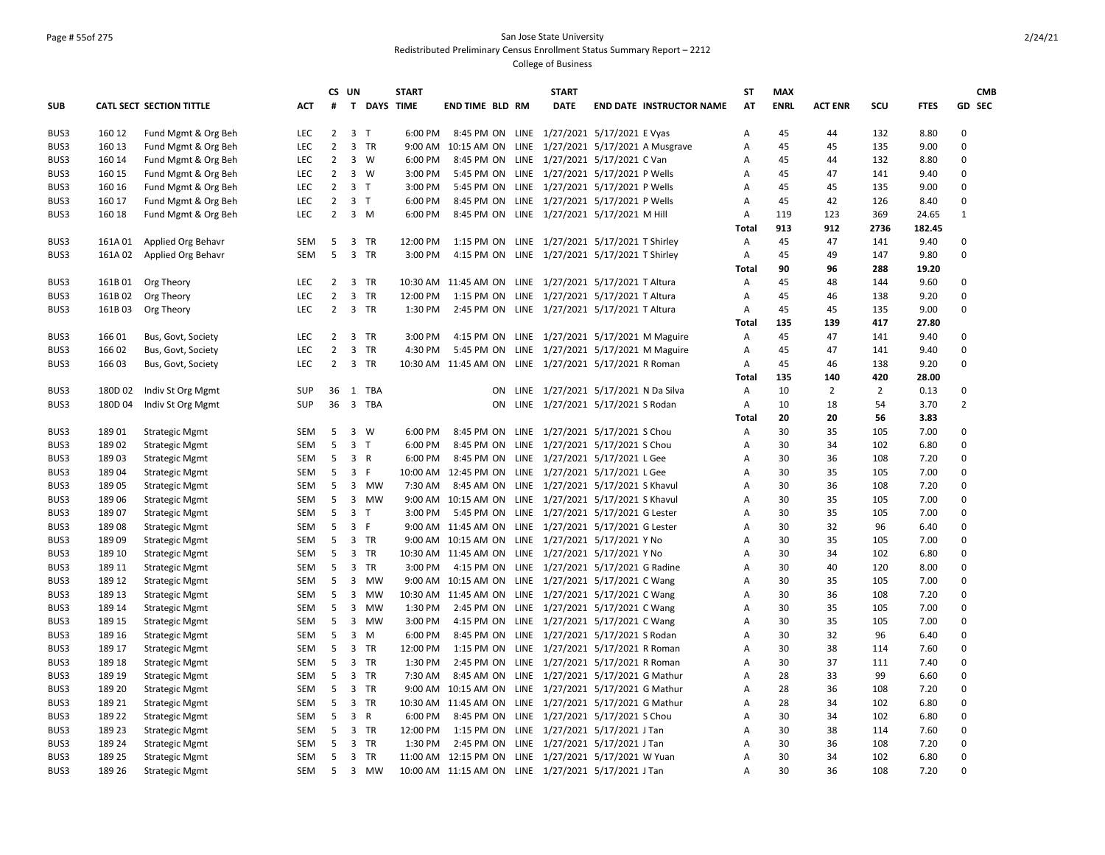# Page # 55of 275 San Jose State University Redistributed Preliminary Census Enrollment Status Summary Report – 2212

|            |         |                          |            |                | CS UN                   |            | <b>START</b>       |                                                         | <b>START</b>                        |                                 | <b>ST</b>    | <b>MAX</b>  |                |                |             |                | <b>CMB</b> |
|------------|---------|--------------------------|------------|----------------|-------------------------|------------|--------------------|---------------------------------------------------------|-------------------------------------|---------------------------------|--------------|-------------|----------------|----------------|-------------|----------------|------------|
| <b>SUB</b> |         | CATL SECT SECTION TITTLE | ACT        | #              |                         |            | <b>T DAYS TIME</b> | END TIME BLD RM                                         | <b>DATE</b>                         | <b>END DATE INSTRUCTOR NAME</b> | AT           | <b>ENRL</b> | <b>ACT ENR</b> | SCU            | <b>FTES</b> |                | GD SEC     |
| BUS3       | 160 12  | Fund Mgmt & Org Beh      | LEC        | $2^{\circ}$    | 3 <sub>T</sub>          |            | 6:00 PM            | 8:45 PM ON LINE 1/27/2021 5/17/2021 E Vyas              |                                     |                                 | А            | 45          | 44             | 132            | 8.80        | $\mathbf 0$    |            |
| BUS3       | 160 13  | Fund Mgmt & Org Beh      | LEC        | $\overline{2}$ | 3 TR                    |            |                    | 9:00 AM 10:15 AM ON LINE 1/27/2021 5/17/2021 A Musgrave |                                     |                                 | А            | 45          | 45             | 135            | 9.00        | $\mathbf 0$    |            |
| BUS3       | 160 14  | Fund Mgmt & Org Beh      | <b>LEC</b> | $\overline{2}$ | $3 \quad W$             |            | 6:00 PM            | 8:45 PM ON LINE 1/27/2021 5/17/2021 C Van               |                                     |                                 | A            | 45          | 44             | 132            | 8.80        | $\mathbf 0$    |            |
| BUS3       | 160 15  | Fund Mgmt & Org Beh      | <b>LEC</b> | $\overline{2}$ | $3 \quad W$             |            | 3:00 PM            | 5:45 PM ON LINE 1/27/2021 5/17/2021 P Wells             |                                     |                                 | A            | 45          | 47             | 141            | 9.40        | $\Omega$       |            |
| BUS3       | 160 16  | Fund Mgmt & Org Beh      | <b>LEC</b> | $\overline{2}$ | 3 <sub>1</sub>          |            | 3:00 PM            | 5:45 PM ON LINE 1/27/2021 5/17/2021 P Wells             |                                     |                                 | Α            | 45          | 45             | 135            | 9.00        | $\mathbf 0$    |            |
| BUS3       | 160 17  | Fund Mgmt & Org Beh      | <b>LEC</b> | $2^{\circ}$    | 3 <sub>1</sub>          |            | 6:00 PM            | 8:45 PM ON LINE 1/27/2021 5/17/2021 P Wells             |                                     |                                 | Α            | 45          | 42             | 126            | 8.40        | $\mathbf 0$    |            |
| BUS3       | 160 18  | Fund Mgmt & Org Beh      | <b>LEC</b> | $\overline{2}$ | $3 \, M$                |            | 6:00 PM            | 8:45 PM ON LINE 1/27/2021 5/17/2021 M Hill              |                                     |                                 | А            | 119         | 123            | 369            | 24.65       | $\mathbf{1}$   |            |
|            |         |                          |            |                |                         |            |                    |                                                         |                                     |                                 | <b>Total</b> | 913         | 912            | 2736           | 182.45      |                |            |
| BUS3       | 161A01  | Applied Org Behavr       | SEM        | 5              | 3 TR                    |            | 12:00 PM           | 1:15 PM ON LINE 1/27/2021 5/17/2021 T Shirley           |                                     |                                 | А            | 45          | 47             | 141            | 9.40        | $\mathbf 0$    |            |
| BUS3       | 161A 02 | Applied Org Behavr       | SEM        | 5              | 3 TR                    |            | 3:00 PM            | 4:15 PM ON LINE 1/27/2021 5/17/2021 T Shirley           |                                     |                                 | A            | 45          | 49             | 147            | 9.80        | 0              |            |
|            |         |                          |            |                |                         |            |                    |                                                         |                                     |                                 | <b>Total</b> | 90          | 96             | 288            | 19.20       |                |            |
| BUS3       | 161B01  | Org Theory               | <b>LEC</b> | $2^{\circ}$    | 3 TR                    |            |                    | 10:30 AM 11:45 AM ON LINE 1/27/2021 5/17/2021 T Altura  |                                     |                                 | А            | 45          | 48             | 144            | 9.60        | $\mathbf 0$    |            |
| BUS3       | 161B02  | Org Theory               | <b>LEC</b> | $\overline{2}$ | $\overline{3}$          | TR         | 12:00 PM           | 1:15 PM ON LINE 1/27/2021 5/17/2021 T Altura            |                                     |                                 | A            | 45          | 46             | 138            | 9.20        | $\Omega$       |            |
| BUS3       | 161B03  | Org Theory               | <b>LEC</b> | $2^{\circ}$    | 3 TR                    |            | 1:30 PM            | 2:45 PM ON LINE 1/27/2021 5/17/2021 T Altura            |                                     |                                 | Α            | 45          | 45             | 135            | 9.00        | $\mathbf 0$    |            |
|            |         |                          |            |                |                         |            |                    |                                                         |                                     |                                 | <b>Total</b> | 135         | 139            | 417            | 27.80       |                |            |
| BUS3       | 166 01  | Bus, Govt, Society       | LEC        | $\overline{2}$ | 3 TR                    |            | 3:00 PM            | 4:15 PM ON LINE 1/27/2021 5/17/2021 M Maguire           |                                     |                                 | А            | 45          | 47             | 141            | 9.40        | $\mathbf 0$    |            |
| BUS3       | 166 02  | Bus, Govt, Society       | LEC        | $\overline{2}$ | $\mathbf{3}$            | TR         | 4:30 PM            | 5:45 PM ON LINE 1/27/2021 5/17/2021 M Maguire           |                                     |                                 | Α            | 45          | 47             | 141            | 9.40        | $\pmb{0}$      |            |
| BUS3       | 166 03  | Bus, Govt, Society       | <b>LEC</b> | $\overline{2}$ | 3 TR                    |            |                    | 10:30 AM 11:45 AM ON LINE 1/27/2021 5/17/2021 R Roman   |                                     |                                 | А            | 45          | 46             | 138            | 9.20        | $\Omega$       |            |
|            |         |                          |            |                |                         |            |                    |                                                         |                                     |                                 | <b>Total</b> | 135         | 140            | 420            | 28.00       |                |            |
| BUS3       | 180D 02 | Indiv St Org Mgmt        | <b>SUP</b> | 36             |                         | 1 TBA      |                    | ON.                                                     | LINE 1/27/2021 5/17/2021 N Da Silva |                                 | А            | 10          | $\overline{2}$ | $\overline{2}$ | 0.13        | 0              |            |
| BUS3       | 180D 04 | Indiv St Org Mgmt        | <b>SUP</b> | 36             | $\overline{\mathbf{3}}$ | <b>TBA</b> |                    | ON                                                      | LINE 1/27/2021 5/17/2021 S Rodan    |                                 | А            | 10          | 18             | 54             | 3.70        | $\overline{2}$ |            |
|            |         |                          |            |                |                         |            |                    |                                                         |                                     |                                 | <b>Total</b> | 20          | 20             | 56             | 3.83        |                |            |
| BUS3       | 18901   | <b>Strategic Mgmt</b>    | SEM        | 5              | $3 \quad W$             |            | 6:00 PM            | 8:45 PM ON LINE 1/27/2021 5/17/2021 S Chou              |                                     |                                 | А            | 30          | 35             | 105            | 7.00        | $\mathbf 0$    |            |
| BUS3       | 18902   | <b>Strategic Mgmt</b>    | SEM        | 5              | 3 <sub>1</sub>          |            | 6:00 PM            | 8:45 PM ON LINE 1/27/2021 5/17/2021 S Chou              |                                     |                                 | Α            | 30          | 34             | 102            | 6.80        | $\mathbf 0$    |            |
| BUS3       | 18903   | <b>Strategic Mgmt</b>    | SEM        | 5              | 3 R                     |            | 6:00 PM            | 8:45 PM ON LINE 1/27/2021 5/17/2021 L Gee               |                                     |                                 | A            | 30          | 36             | 108            | 7.20        | $\mathbf 0$    |            |
| BUS3       | 18904   | <b>Strategic Mgmt</b>    | SEM        | 5              | $\overline{3}$          | F          |                    | 10:00 AM 12:45 PM ON LINE 1/27/2021 5/17/2021 L Gee     |                                     |                                 | А            | 30          | 35             | 105            | 7.00        | $\mathbf 0$    |            |
| BUS3       | 18905   | <b>Strategic Mgmt</b>    | SEM        | 5              |                         | 3 MW       | 7:30 AM            | 8:45 AM ON LINE 1/27/2021 5/17/2021 S Khavul            |                                     |                                 | А            | 30          | 36             | 108            | 7.20        | $\Omega$       |            |
| BUS3       | 18906   | <b>Strategic Mgmt</b>    | SEM        | 5              | $\overline{3}$          | <b>MW</b>  |                    | 9:00 AM 10:15 AM ON LINE 1/27/2021 5/17/2021 S Khavul   |                                     |                                 | Α            | 30          | 35             | 105            | 7.00        | $\mathbf 0$    |            |
| BUS3       | 18907   | <b>Strategic Mgmt</b>    | SEM        | 5              | 3 <sub>1</sub>          |            | 3:00 PM            | 5:45 PM ON LINE 1/27/2021 5/17/2021 G Lester            |                                     |                                 | A            | 30          | 35             | 105            | 7.00        | $\Omega$       |            |
| BUS3       | 18908   | <b>Strategic Mgmt</b>    | SEM        | 5              | 3 F                     |            |                    | 9:00 AM 11:45 AM ON LINE 1/27/2021 5/17/2021 G Lester   |                                     |                                 | A            | 30          | 32             | 96             | 6.40        | $\Omega$       |            |
| BUS3       | 18909   | <b>Strategic Mgmt</b>    | SEM        | 5              | 3 TR                    |            |                    | 9:00 AM 10:15 AM ON LINE 1/27/2021 5/17/2021 Y No       |                                     |                                 | А            | 30          | 35             | 105            | 7.00        | $\pmb{0}$      |            |
| BUS3       | 189 10  | <b>Strategic Mgmt</b>    | SEM        | 5              | 3 TR                    |            |                    | 10:30 AM 11:45 AM ON LINE 1/27/2021 5/17/2021 Y No      |                                     |                                 | Α            | 30          | 34             | 102            | 6.80        | $\mathbf 0$    |            |
| BUS3       | 189 11  | <b>Strategic Mgmt</b>    | SEM        | 5              | 3 TR                    |            | 3:00 PM            | 4:15 PM ON LINE 1/27/2021 5/17/2021 G Radine            |                                     |                                 | А            | 30          | 40             | 120            | 8.00        | $\mathbf 0$    |            |
| BUS3       | 189 12  | <b>Strategic Mgmt</b>    | SEM        | 5              |                         | 3 MW       |                    | 9:00 AM 10:15 AM ON LINE 1/27/2021 5/17/2021 C Wang     |                                     |                                 | А            | 30          | 35             | 105            | 7.00        | $\mathbf 0$    |            |
| BUS3       | 189 13  | <b>Strategic Mgmt</b>    | SEM        | 5              |                         | 3 MW       |                    | 10:30 AM 11:45 AM ON LINE 1/27/2021 5/17/2021 C Wang    |                                     |                                 | А            | 30          | 36             | 108            | 7.20        | $\Omega$       |            |
| BUS3       | 189 14  | <b>Strategic Mgmt</b>    | SEM        | 5              |                         | 3 MW       | 1:30 PM            | 2:45 PM ON LINE 1/27/2021 5/17/2021 C Wang              |                                     |                                 | Α            | 30          | 35             | 105            | 7.00        | $\mathbf 0$    |            |
| BUS3       | 189 15  | <b>Strategic Mgmt</b>    | <b>SEM</b> | 5              | $\mathbf{3}$            | MW         | 3:00 PM            | 4:15 PM ON LINE 1/27/2021 5/17/2021 C Wang              |                                     |                                 | A            | 30          | 35             | 105            | 7.00        | $\mathbf 0$    |            |
| BUS3       | 189 16  | <b>Strategic Mgmt</b>    | SEM        | 5              | $\overline{3}$          | M          | 6:00 PM            | 8:45 PM ON LINE 1/27/2021 5/17/2021 S Rodan             |                                     |                                 | A            | 30          | 32             | 96             | 6.40        | $\pmb{0}$      |            |
| BUS3       | 189 17  | <b>Strategic Mgmt</b>    | SEM        | 5              | 3 TR                    |            | 12:00 PM           | 1:15 PM ON LINE 1/27/2021 5/17/2021 R Roman             |                                     |                                 | Α            | 30          | 38             | 114            | 7.60        | $\mathbf 0$    |            |
| BUS3       | 189 18  | <b>Strategic Mgmt</b>    | SEM        | 5              | 3 TR                    |            | 1:30 PM            | 2:45 PM ON LINE 1/27/2021 5/17/2021 R Roman             |                                     |                                 | Α            | 30          | 37             | 111            | 7.40        | 0              |            |
| BUS3       | 189 19  | <b>Strategic Mgmt</b>    | SEM        | 5              | 3 TR                    |            | 7:30 AM            | 8:45 AM ON LINE 1/27/2021 5/17/2021 G Mathur            |                                     |                                 | А            | 28          | 33             | 99             | 6.60        | $\mathbf 0$    |            |
| BUS3       | 189 20  | <b>Strategic Mgmt</b>    | SEM        | 5              | 3 TR                    |            |                    | 9:00 AM 10:15 AM ON LINE 1/27/2021 5/17/2021 G Mathur   |                                     |                                 | Α            | 28          | 36             | 108            | 7.20        | $\Omega$       |            |
| BUS3       | 189 21  | <b>Strategic Mgmt</b>    | SEM        | 5              | 3 TR                    |            |                    | 10:30 AM 11:45 AM ON LINE 1/27/2021 5/17/2021 G Mathur  |                                     |                                 | A            | 28          | 34             | 102            | 6.80        | $\mathbf 0$    |            |
| BUS3       | 189 22  | <b>Strategic Mgmt</b>    | SEM        | 5              | 3 R                     |            | 6:00 PM            | 8:45 PM ON LINE 1/27/2021 5/17/2021 S Chou              |                                     |                                 | A            | 30          | 34             | 102            | 6.80        | $\Omega$       |            |
| BUS3       | 189 23  | <b>Strategic Mgmt</b>    | SEM        | 5              | $\overline{3}$          | TR         | 12:00 PM           | 1:15 PM ON LINE 1/27/2021 5/17/2021 J Tan               |                                     |                                 | A            | 30          | 38             | 114            | 7.60        | $\mathbf 0$    |            |
| BUS3       | 189 24  | <b>Strategic Mgmt</b>    | SEM        | 5              | 3 TR                    |            | 1:30 PM            | 2:45 PM ON LINE 1/27/2021 5/17/2021 J Tan               |                                     |                                 | A            | 30          | 36             | 108            | 7.20        | $\Omega$       |            |
| BUS3       | 189 25  | <b>Strategic Mgmt</b>    | SEM        | 5              | 3 TR                    |            |                    | 11:00 AM 12:15 PM ON LINE 1/27/2021 5/17/2021 W Yuan    |                                     |                                 | Α            | 30          | 34             | 102            | 6.80        | $\mathbf 0$    |            |
| BUS3       | 189 26  | <b>Strategic Mgmt</b>    | SEM        | 5              |                         | 3 MW       |                    | 10:00 AM 11:15 AM ON LINE 1/27/2021 5/17/2021 J Tan     |                                     |                                 | A            | 30          | 36             | 108            | 7.20        | $\Omega$       |            |
|            |         |                          |            |                |                         |            |                    |                                                         |                                     |                                 |              |             |                |                |             |                |            |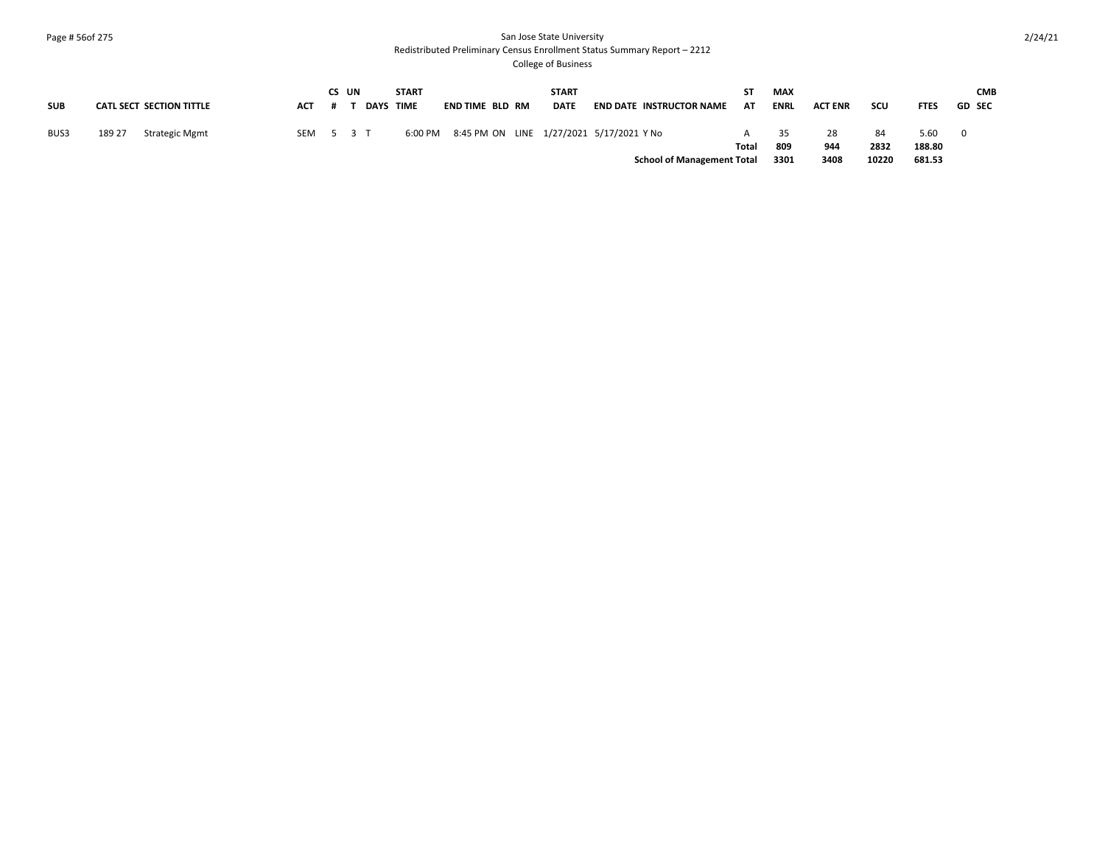### Page # 56of 275 San Jose State University Redistributed Preliminary Census Enrollment Status Summary Report – 2212

|            |        |                          |           | CS UN |           | <b>START</b> |                 | <b>START</b> |                                          | ST.   | MAX         |                |       |             | <b>CMB</b>     |
|------------|--------|--------------------------|-----------|-------|-----------|--------------|-----------------|--------------|------------------------------------------|-------|-------------|----------------|-------|-------------|----------------|
| <b>SUB</b> |        | CATL SECT SECTION TITTLE | ACT       | .#    | DAYS TIME |              | END TIME BLD RM | <b>DATE</b>  | END DATE INSTRUCTOR NAME                 | AT    | <b>ENRL</b> | <b>ACT ENR</b> | scu   | <b>FTES</b> | <b>GD SEC</b>  |
|            |        |                          |           |       |           |              |                 |              |                                          |       |             |                |       |             |                |
| BUS3       | 189 27 | Strategic Mgmt           | SEM 5 3 T |       |           | 6:00 PM      |                 |              | 8:45 PM ON LINE 1/27/2021 5/17/2021 Y No |       | 35          | -28            | 84    | 5.60        | $\overline{0}$ |
|            |        |                          |           |       |           |              |                 |              |                                          | Total | 809         | 944            | 2832  | 188.80      |                |
|            |        |                          |           |       |           |              |                 |              | <b>School of Management Total</b>        |       | 3301        | 3408           | 10220 | 681.53      |                |